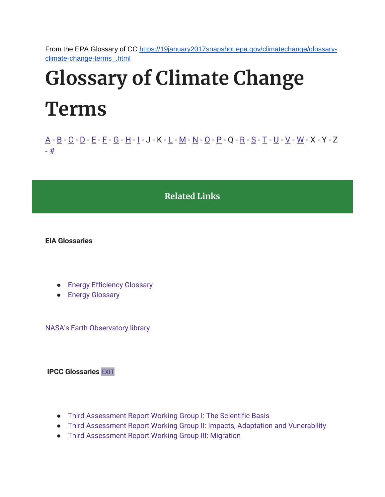From the EPA Glossary of CC [https://19january2017snapshot.epa.gov/climatechange/glossary](https://19january2017snapshot.epa.gov/climatechange/glossary-climate-change-terms_.html)[climate-change-terms\\_.html](https://19january2017snapshot.epa.gov/climatechange/glossary-climate-change-terms_.html)

# Glossary of Climate Change Terms

[A](https://19january2017snapshot.epa.gov/climatechange/glossary-climate-change-terms_.html#A) - [B](https://19january2017snapshot.epa.gov/climatechange/glossary-climate-change-terms_.html#B) - [C](https://19january2017snapshot.epa.gov/climatechange/glossary-climate-change-terms_.html#C) - [D](https://19january2017snapshot.epa.gov/climatechange/glossary-climate-change-terms_.html#D) - [E](https://19january2017snapshot.epa.gov/climatechange/glossary-climate-change-terms_.html#E) - [F](https://19january2017snapshot.epa.gov/climatechange/glossary-climate-change-terms_.html#F) - [G](https://19january2017snapshot.epa.gov/climatechange/glossary-climate-change-terms_.html#G) - [H](https://19january2017snapshot.epa.gov/climatechange/glossary-climate-change-terms_.html#H) - [I](https://19january2017snapshot.epa.gov/climatechange/glossary-climate-change-terms_.html#I) - J - K - [L](https://19january2017snapshot.epa.gov/climatechange/glossary-climate-change-terms_.html#L) - [M](https://19january2017snapshot.epa.gov/climatechange/glossary-climate-change-terms_.html#M) - [N](https://19january2017snapshot.epa.gov/climatechange/glossary-climate-change-terms_.html#N) - [O](https://19january2017snapshot.epa.gov/climatechange/glossary-climate-change-terms_.html#O) - [P](https://19january2017snapshot.epa.gov/climatechange/glossary-climate-change-terms_.html#P) - Q - [R](https://19january2017snapshot.epa.gov/climatechange/glossary-climate-change-terms_.html#R) - [S](https://19january2017snapshot.epa.gov/climatechange/glossary-climate-change-terms_.html#S) - [T](https://19january2017snapshot.epa.gov/climatechange/glossary-climate-change-terms_.html#T) - [U](https://19january2017snapshot.epa.gov/climatechange/glossary-climate-change-terms_.html#U) - [V](https://19january2017snapshot.epa.gov/climatechange/glossary-climate-change-terms_.html#V) - [W](https://19january2017snapshot.epa.gov/climatechange/glossary-climate-change-terms_.html#W) - X - Y - Z - [#](https://19january2017snapshot.epa.gov/climatechange/glossary-climate-change-terms_.html)

Related Links

EIA Glossaries

- [Energy Efficiency Glossary](http://www.eia.gov/emeu/efficiency/ee_gloss.htm)
- [Energy Glossary](http://www.eia.gov/tools/glossary/)

[NASA's Earth Observatory library](http://earthobservatory.nasa.gov/Glossary/?mode=all)

IPCC Glossaries [EXIT](https://19january2017snapshot.epa.gov/home/exit-epa)

- [Third Assessment Report Working Group I: The Scientific Basis](http://www.grida.no/publications/other/ipcc_tar/?src=/climate/ipcc_tar/wg1/518.htm)
- [Third Assessment Report Working Group II: Impacts, Adaptation and Vunerability](http://www.grida.no/publications/other/ipcc_tar/?src=/climate/ipcc_tar/wg2/689.htm)
- [Third Assessment Report Working Group III: Migration](http://www.grida.no/publications/other/ipcc_tar/?src=/climate/ipcc_tar/wg3/454.htm)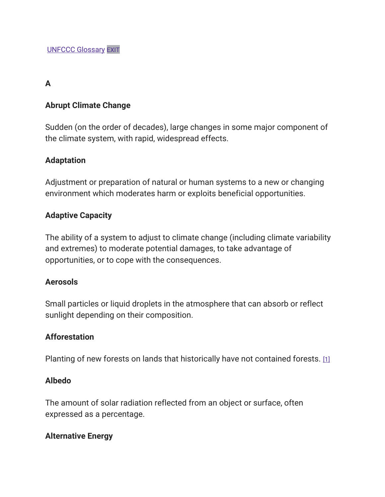#### A

#### Abrupt Climate Change

Sudden (on the order of decades), large changes in some major component of the climate system, with rapid, widespread effects.

#### Adaptation

Adjustment or preparation of natural or human systems to a new or changing environment which moderates harm or exploits beneficial opportunities.

#### Adaptive Capacity

The ability of a system to adjust to climate change (including climate variability and extremes) to moderate potential damages, to take advantage of opportunities, or to cope with the consequences.

#### **Aerosols**

Small particles or liquid droplets in the atmosphere that can absorb or reflect sunlight depending on their composition.

#### Afforestation

Planting of new forests on lands that historically have not contained forests. [\[1\]](https://19january2017snapshot.epa.gov/climatechange/glossary-climate-change-terms_.html#1)

#### Albedo

The amount of solar radiation reflected from an object or surface, often expressed as a percentage.

#### Alternative Energy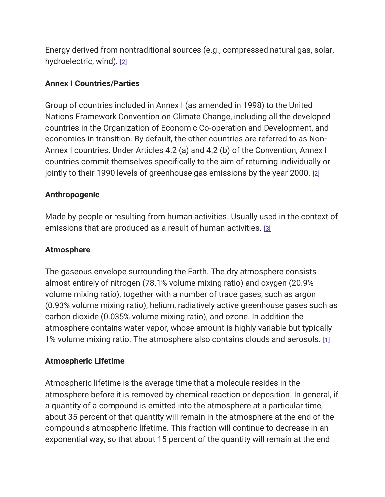Energy derived from nontraditional sources (e.g., compressed natural gas, solar, hydroelectric, wind). [\[2\]](https://19january2017snapshot.epa.gov/climatechange/glossary-climate-change-terms_.html#2)

#### Annex I Countries/Parties

Group of countries included in Annex I (as amended in 1998) to the United Nations Framework Convention on Climate Change, including all the developed countries in the Organization of Economic Co-operation and Development, and economies in transition. By default, the other countries are referred to as Non-Annex I countries. Under Articles 4.2 (a) and 4.2 (b) of the Convention, Annex I countries commit themselves specifically to the aim of returning individually or jointly to their 1990 levels of greenhouse gas emissions by the year 2000. [\[2\]](https://19january2017snapshot.epa.gov/climatechange/glossary-climate-change-terms_.html#2)

## Anthropogenic

Made by people or resulting from human activities. Usually used in the context of emissions that are produced as a result of human activities. [\[3\]](https://19january2017snapshot.epa.gov/climatechange/glossary-climate-change-terms_.html#3)

#### Atmosphere

The gaseous envelope surrounding the Earth. The dry atmosphere consists almost entirely of nitrogen (78.1% volume mixing ratio) and oxygen (20.9% volume mixing ratio), together with a number of trace gases, such as argon (0.93% volume mixing ratio), helium, radiatively active greenhouse gases such as carbon dioxide (0.035% volume mixing ratio), and ozone. In addition the atmosphere contains water vapor, whose amount is highly variable but typically 1% volume mixing ratio. The atmosphere also contains clouds and aerosols. [\[1\]](https://19january2017snapshot.epa.gov/climatechange/glossary-climate-change-terms_.html#1)

# Atmospheric Lifetime

Atmospheric lifetime is the average time that a molecule resides in the atmosphere before it is removed by chemical reaction or deposition. In general, if a quantity of a compound is emitted into the atmosphere at a particular time, about 35 percent of that quantity will remain in the atmosphere at the end of the compound's atmospheric lifetime. This fraction will continue to decrease in an exponential way, so that about 15 percent of the quantity will remain at the end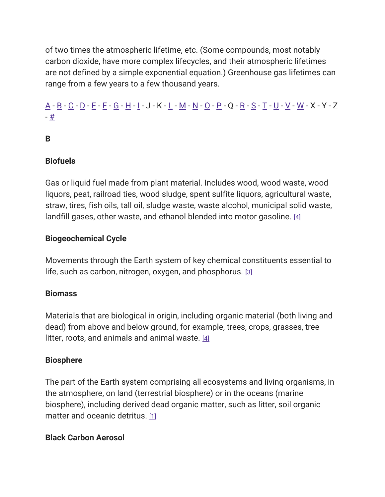of two times the atmospheric lifetime, etc. (Some compounds, most notably carbon dioxide, have more complex lifecycles, and their atmospheric lifetimes are not defined by a simple exponential equation.) Greenhouse gas lifetimes can range from a few years to a few thousand years.

# [A](https://19january2017snapshot.epa.gov/climatechange/glossary-climate-change-terms_.html#A) - [B](https://19january2017snapshot.epa.gov/climatechange/glossary-climate-change-terms_.html#B) - [C](https://19january2017snapshot.epa.gov/climatechange/glossary-climate-change-terms_.html#C) - [D](https://19january2017snapshot.epa.gov/climatechange/glossary-climate-change-terms_.html#D) - [E](https://19january2017snapshot.epa.gov/climatechange/glossary-climate-change-terms_.html#E) - [F](https://19january2017snapshot.epa.gov/climatechange/glossary-climate-change-terms_.html#F) - [G](https://19january2017snapshot.epa.gov/climatechange/glossary-climate-change-terms_.html#G) - [H](https://19january2017snapshot.epa.gov/climatechange/glossary-climate-change-terms_.html#H) - [I](https://19january2017snapshot.epa.gov/climatechange/glossary-climate-change-terms_.html#I) - J - K - [L](https://19january2017snapshot.epa.gov/climatechange/glossary-climate-change-terms_.html#L) - [M](https://19january2017snapshot.epa.gov/climatechange/glossary-climate-change-terms_.html#M) - [N](https://19january2017snapshot.epa.gov/climatechange/glossary-climate-change-terms_.html#N) - [O](https://19january2017snapshot.epa.gov/climatechange/glossary-climate-change-terms_.html#O) - [P](https://19january2017snapshot.epa.gov/climatechange/glossary-climate-change-terms_.html#P) - Q - [R](https://19january2017snapshot.epa.gov/climatechange/glossary-climate-change-terms_.html#R) - [S](https://19january2017snapshot.epa.gov/climatechange/glossary-climate-change-terms_.html#S) - [T](https://19january2017snapshot.epa.gov/climatechange/glossary-climate-change-terms_.html#T) - [U](https://19january2017snapshot.epa.gov/climatechange/glossary-climate-change-terms_.html#U) - [V](https://19january2017snapshot.epa.gov/climatechange/glossary-climate-change-terms_.html#V) - [W](https://19january2017snapshot.epa.gov/climatechange/glossary-climate-change-terms_.html#W) - X - Y - Z - [#](https://19january2017snapshot.epa.gov/climatechange/glossary-climate-change-terms_.html)

# B

#### **Biofuels**

Gas or liquid fuel made from plant material. Includes wood, wood waste, wood liquors, peat, railroad ties, wood sludge, spent sulfite liquors, agricultural waste, straw, tires, fish oils, tall oil, sludge waste, waste alcohol, municipal solid waste, landfill gases, other waste, and ethanol blended into motor gasoline. [\[4\]](https://19january2017snapshot.epa.gov/climatechange/glossary-climate-change-terms_.html#4)

#### Biogeochemical Cycle

Movements through the Earth system of key chemical constituents essential to life, such as carbon, nitrogen, oxygen, and phosphorus. [\[3\]](https://19january2017snapshot.epa.gov/climatechange/glossary-climate-change-terms_.html#3)

#### **Biomass**

Materials that are biological in origin, including organic material (both living and dead) from above and below ground, for example, trees, crops, grasses, tree litter, roots, and animals and animal waste.  $[4]$ 

#### **Biosphere**

The part of the Earth system comprising all ecosystems and living organisms, in the atmosphere, on land (terrestrial biosphere) or in the oceans (marine biosphere), including derived dead organic matter, such as litter, soil organic matter and oceanic detritus. [\[1\]](https://19january2017snapshot.epa.gov/climatechange/glossary-climate-change-terms_.html#1)

#### Black Carbon Aerosol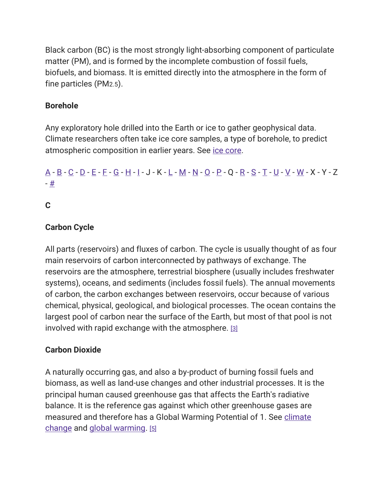Black carbon (BC) is the most strongly light-absorbing component of particulate matter (PM), and is formed by the incomplete combustion of fossil fuels, biofuels, and biomass. It is emitted directly into the atmosphere in the form of fine particles (PM2.5).

# Borehole

Any exploratory hole drilled into the Earth or ice to gather geophysical data. Climate researchers often take ice core samples, a type of borehole, to predict atmospheric composition in earlier years. See [ice core.](https://19january2017snapshot.epa.gov/climatechange/glossary-climate-change-terms_.html#Ice%20Core)

# [A](https://19january2017snapshot.epa.gov/climatechange/glossary-climate-change-terms_.html#A) - [B](https://19january2017snapshot.epa.gov/climatechange/glossary-climate-change-terms_.html#B) - [C](https://19january2017snapshot.epa.gov/climatechange/glossary-climate-change-terms_.html#C) - [D](https://19january2017snapshot.epa.gov/climatechange/glossary-climate-change-terms_.html#D) - [E](https://19january2017snapshot.epa.gov/climatechange/glossary-climate-change-terms_.html#E) - [F](https://19january2017snapshot.epa.gov/climatechange/glossary-climate-change-terms_.html#F) - [G](https://19january2017snapshot.epa.gov/climatechange/glossary-climate-change-terms_.html#G) - [H](https://19january2017snapshot.epa.gov/climatechange/glossary-climate-change-terms_.html#H) - [I](https://19january2017snapshot.epa.gov/climatechange/glossary-climate-change-terms_.html#I) - J - K - [L](https://19january2017snapshot.epa.gov/climatechange/glossary-climate-change-terms_.html#L) - [M](https://19january2017snapshot.epa.gov/climatechange/glossary-climate-change-terms_.html#M) - [N](https://19january2017snapshot.epa.gov/climatechange/glossary-climate-change-terms_.html#N) - [O](https://19january2017snapshot.epa.gov/climatechange/glossary-climate-change-terms_.html#O) - [P](https://19january2017snapshot.epa.gov/climatechange/glossary-climate-change-terms_.html#P) - Q - [R](https://19january2017snapshot.epa.gov/climatechange/glossary-climate-change-terms_.html#R) - [S](https://19january2017snapshot.epa.gov/climatechange/glossary-climate-change-terms_.html#S) - [T](https://19january2017snapshot.epa.gov/climatechange/glossary-climate-change-terms_.html#T) - [U](https://19january2017snapshot.epa.gov/climatechange/glossary-climate-change-terms_.html#U) - [V](https://19january2017snapshot.epa.gov/climatechange/glossary-climate-change-terms_.html#V) - [W](https://19january2017snapshot.epa.gov/climatechange/glossary-climate-change-terms_.html#W) - X - Y - Z - [#](https://19january2017snapshot.epa.gov/climatechange/glossary-climate-change-terms_.html)

## C

## Carbon Cycle

All parts (reservoirs) and fluxes of carbon. The cycle is usually thought of as four main reservoirs of carbon interconnected by pathways of exchange. The reservoirs are the atmosphere, terrestrial biosphere (usually includes freshwater systems), oceans, and sediments (includes fossil fuels). The annual movements of carbon, the carbon exchanges between reservoirs, occur because of various chemical, physical, geological, and biological processes. The ocean contains the largest pool of carbon near the surface of the Earth, but most of that pool is not involved with rapid exchange with the atmosphere. [\[3\]](https://19january2017snapshot.epa.gov/climatechange/glossary-climate-change-terms_.html#3)

#### Carbon Dioxide

A naturally occurring gas, and also a by-product of burning fossil fuels and biomass, as well as land-use changes and other industrial processes. It is the principal human caused greenhouse gas that affects the Earth's radiative balance. It is the reference gas against which other greenhouse gases are measured and therefore has a Global Warming Potential of 1. See climate [change](https://19january2017snapshot.epa.gov/climatechange/glossary-climate-change-terms_.html#Climate%20Change) and [global warming.](https://19january2017snapshot.epa.gov/climatechange/glossary-climate-change-terms_.html#Global%20Warming) [\[5\]](https://19january2017snapshot.epa.gov/climatechange/glossary-climate-change-terms_.html#5)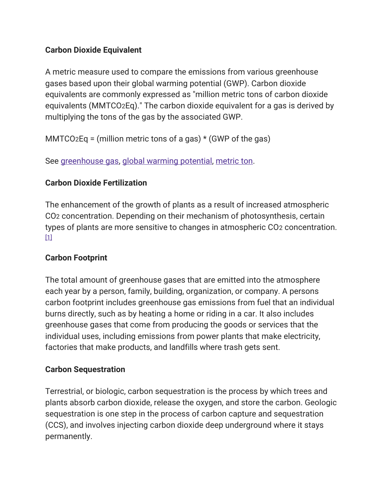## Carbon Dioxide Equivalent

A metric measure used to compare the emissions from various greenhouse gases based upon their global warming potential (GWP). Carbon dioxide equivalents are commonly expressed as "million metric tons of carbon dioxide equivalents (MMTCO2Eq)." The carbon dioxide equivalent for a gas is derived by multiplying the tons of the gas by the associated GWP.

MMTCO2Eq = (million metric tons of a gas) \* (GWP of the gas)

See [greenhouse gas,](https://19january2017snapshot.epa.gov/climatechange/glossary-climate-change-terms_.html#Greenhouse%20Gas%20(GHG)) [global warming potential,](https://19january2017snapshot.epa.gov/climatechange/glossary-climate-change-terms_.html#Global%20Warming%20Potential) [metric ton.](https://19january2017snapshot.epa.gov/climatechange/glossary-climate-change-terms_.html#Metric%20Ton)

# Carbon Dioxide Fertilization

The enhancement of the growth of plants as a result of increased atmospheric CO2 concentration. Depending on their mechanism of photosynthesis, certain types of plants are more sensitive to changes in atmospheric CO2 concentration.  $[1]$ 

#### Carbon Footprint

The total amount of greenhouse gases that are emitted into the atmosphere each year by a person, family, building, organization, or company. A persons carbon footprint includes greenhouse gas emissions from fuel that an individual burns directly, such as by heating a home or riding in a car. It also includes greenhouse gases that come from producing the goods or services that the individual uses, including emissions from power plants that make electricity, factories that make products, and landfills where trash gets sent.

#### Carbon Sequestration

Terrestrial, or biologic, carbon sequestration is the process by which trees and plants absorb carbon dioxide, release the oxygen, and store the carbon. Geologic sequestration is one step in the process of carbon capture and sequestration (CCS), and involves injecting carbon dioxide deep underground where it stays permanently.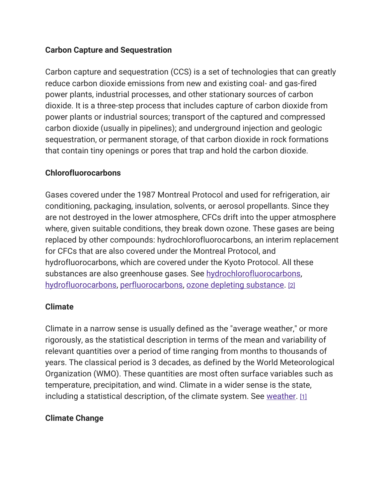#### Carbon Capture and Sequestration

Carbon capture and sequestration (CCS) is a set of technologies that can greatly reduce carbon dioxide emissions from new and existing coal- and gas-fired power plants, industrial processes, and other stationary sources of carbon dioxide. It is a three-step process that includes capture of carbon dioxide from power plants or industrial sources; transport of the captured and compressed carbon dioxide (usually in pipelines); and underground injection and geologic sequestration, or permanent storage, of that carbon dioxide in rock formations that contain tiny openings or pores that trap and hold the carbon dioxide.

#### Chlorofluorocarbons

Gases covered under the 1987 Montreal Protocol and used for refrigeration, air conditioning, packaging, insulation, solvents, or aerosol propellants. Since they are not destroyed in the lower atmosphere, CFCs drift into the upper atmosphere where, given suitable conditions, they break down ozone. These gases are being replaced by other compounds: hydrochlorofluorocarbons, an interim replacement for CFCs that are also covered under the Montreal Protocol, and hydrofluorocarbons, which are covered under the Kyoto Protocol. All these substances are also greenhouse gases. See [hydrochlorofluorocarbons,](https://19january2017snapshot.epa.gov/climatechange/glossary-climate-change-terms_.html#Hydrochlorofluorocarbons%20(HCFCs)) [hydrofluorocarbons,](https://19january2017snapshot.epa.gov/climatechange/glossary-climate-change-terms_.html#Hydrofluorocarbons%20(HFCs)) [perfluorocarbons,](https://19january2017snapshot.epa.gov/climatechange/glossary-climate-change-terms_.html#Perfluorocarbons%20(PFCs)) [ozone depleting substance.](https://19january2017snapshot.epa.gov/climatechange/glossary-climate-change-terms_.html#Ozone%20Depleting%20Substance%20(ODS)) [\[2\]](https://19january2017snapshot.epa.gov/climatechange/glossary-climate-change-terms_.html#2)

#### Climate

Climate in a narrow sense is usually defined as the "average weather," or more rigorously, as the statistical description in terms of the mean and variability of relevant quantities over a period of time ranging from months to thousands of years. The classical period is 3 decades, as defined by the World Meteorological Organization (WMO). These quantities are most often surface variables such as temperature, precipitation, and wind. Climate in a wider sense is the state, including a statistical description, of the climate system. See [weather.](https://19january2017snapshot.epa.gov/climatechange/glossary-climate-change-terms_.html#Weather) [\[1\]](https://19january2017snapshot.epa.gov/climatechange/glossary-climate-change-terms_.html#1)

#### Climate Change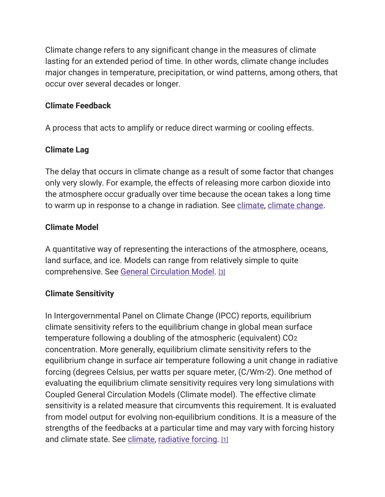Climate change refers to any significant change in the measures of climate lasting for an extended period of time. In other words, climate change includes major changes in temperature, precipitation, or wind patterns, among others, that occur over several decades or longer.

## Climate Feedback

A process that acts to amplify or reduce direct warming or cooling effects.

# Climate Lag

The delay that occurs in climate change as a result of some factor that changes only very slowly. For example, the effects of releasing more carbon dioxide into the atmosphere occur gradually over time because the ocean takes a long time to warm up in response to a change in radiation. See [climate,](https://19january2017snapshot.epa.gov/climatechange/glossary-climate-change-terms_.html#Climate) [climate change.](https://19january2017snapshot.epa.gov/climatechange/glossary-climate-change-terms_.html#Climate%20Change)

# Climate Model

A quantitative way of representing the interactions of the atmosphere, oceans, land surface, and ice. Models can range from relatively simple to quite comprehensive. See [General Circulation Model.](https://19january2017snapshot.epa.gov/climatechange/glossary-climate-change-terms_.html#General%20Circulation%20Model%20(GCM)) [\[3\]](https://19january2017snapshot.epa.gov/climatechange/glossary-climate-change-terms_.html#3)

# Climate Sensitivity

In Intergovernmental Panel on Climate Change (IPCC) reports, equilibrium climate sensitivity refers to the equilibrium change in global mean surface temperature following a doubling of the atmospheric (equivalent) CO2 concentration. More generally, equilibrium climate sensitivity refers to the equilibrium change in surface air temperature following a unit change in radiative forcing (degrees Celsius, per watts per square meter, (C/Wm-2). One method of evaluating the equilibrium climate sensitivity requires very long simulations with Coupled General Circulation Models (Climate model). The effective climate sensitivity is a related measure that circumvents this requirement. It is evaluated from model output for evolving non-equilibrium conditions. It is a measure of the strengths of the feedbacks at a particular time and may vary with forcing history and climate state. See [climate,](https://19january2017snapshot.epa.gov/climatechange/glossary-climate-change-terms_.html#Climate) [radiative forcing.](https://19january2017snapshot.epa.gov/climatechange/glossary-climate-change-terms_.html#Radiative%20Forcing) [\[1\]](https://19january2017snapshot.epa.gov/climatechange/glossary-climate-change-terms_.html#1)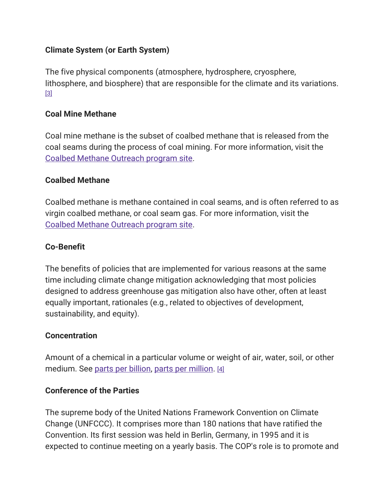#### Climate System (or Earth System)

The five physical components (atmosphere, hydrosphere, cryosphere, lithosphere, and biosphere) that are responsible for the climate and its variations. [\[3\]](https://19january2017snapshot.epa.gov/climatechange/glossary-climate-change-terms_.html#3)

#### Coal Mine Methane

Coal mine methane is the subset of coalbed methane that is released from the coal seams during the process of coal mining. For more information, visit the [Coalbed Methane Outreach program site.](https://19january2017snapshot.epa.gov/cmop)

#### Coalbed Methane

Coalbed methane is methane contained in coal seams, and is often referred to as virgin coalbed methane, or coal seam gas. For more information, visit the [Coalbed Methane Outreach program site.](https://19january2017snapshot.epa.gov/cmop)

#### Co-Benefit

The benefits of policies that are implemented for various reasons at the same time including climate change mitigation acknowledging that most policies designed to address greenhouse gas mitigation also have other, often at least equally important, rationales (e.g., related to objectives of development, sustainability, and equity).

#### **Concentration**

Amount of a chemical in a particular volume or weight of air, water, soil, or other medium. See [parts per billion,](https://19january2017snapshot.epa.gov/climatechange/glossary-climate-change-terms_.html#Parts%20Per%20Billion%20(ppb)) [parts per million.](https://19january2017snapshot.epa.gov/climatechange/glossary-climate-change-terms_.html#Parts%20Per%20Million%20by%20Volume%20(ppmv)) [\[4\]](https://19january2017snapshot.epa.gov/climatechange/glossary-climate-change-terms_.html#4)

#### Conference of the Parties

The supreme body of the United Nations Framework Convention on Climate Change (UNFCCC). It comprises more than 180 nations that have ratified the Convention. Its first session was held in Berlin, Germany, in 1995 and it is expected to continue meeting on a yearly basis. The COP's role is to promote and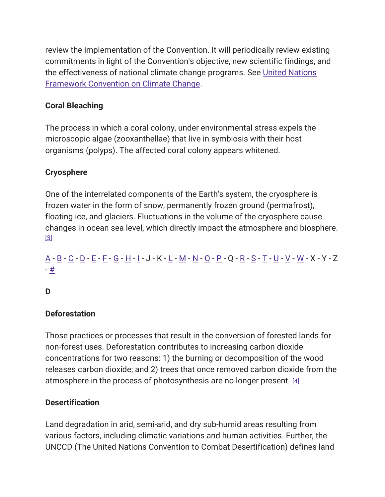review the implementation of the Convention. It will periodically review existing commitments in light of the Convention's objective, new scientific findings, and the effectiveness of national climate change programs. See [United Nations](https://19january2017snapshot.epa.gov/climatechange/glossary-climate-change-terms_.html#United%20Nations%20Framework%20Convention%20on%20Climate%20Change%20(UNFCCC))  [Framework Convention on Climate Change.](https://19january2017snapshot.epa.gov/climatechange/glossary-climate-change-terms_.html#United%20Nations%20Framework%20Convention%20on%20Climate%20Change%20(UNFCCC))

# Coral Bleaching

The process in which a coral colony, under environmental stress expels the microscopic algae (zooxanthellae) that live in symbiosis with their host organisms (polyps). The affected coral colony appears whitened.

# **Cryosphere**

One of the interrelated components of the Earth's system, the cryosphere is frozen water in the form of snow, permanently frozen ground (permafrost), floating ice, and glaciers. Fluctuations in the volume of the cryosphere cause changes in ocean sea level, which directly impact the atmosphere and biosphere. [\[3\]](https://19january2017snapshot.epa.gov/climatechange/glossary-climate-change-terms_.html#3)

# [A](https://19january2017snapshot.epa.gov/climatechange/glossary-climate-change-terms_.html#A) - [B](https://19january2017snapshot.epa.gov/climatechange/glossary-climate-change-terms_.html#B) - [C](https://19january2017snapshot.epa.gov/climatechange/glossary-climate-change-terms_.html#C) - [D](https://19january2017snapshot.epa.gov/climatechange/glossary-climate-change-terms_.html#D) - [E](https://19january2017snapshot.epa.gov/climatechange/glossary-climate-change-terms_.html#E) - [F](https://19january2017snapshot.epa.gov/climatechange/glossary-climate-change-terms_.html#F) - [G](https://19january2017snapshot.epa.gov/climatechange/glossary-climate-change-terms_.html#G) - [H](https://19january2017snapshot.epa.gov/climatechange/glossary-climate-change-terms_.html#H) - [I](https://19january2017snapshot.epa.gov/climatechange/glossary-climate-change-terms_.html#I) - J - K - [L](https://19january2017snapshot.epa.gov/climatechange/glossary-climate-change-terms_.html#L) - [M](https://19january2017snapshot.epa.gov/climatechange/glossary-climate-change-terms_.html#M) - [N](https://19january2017snapshot.epa.gov/climatechange/glossary-climate-change-terms_.html#N) - [O](https://19january2017snapshot.epa.gov/climatechange/glossary-climate-change-terms_.html#O) - [P](https://19january2017snapshot.epa.gov/climatechange/glossary-climate-change-terms_.html#P) - Q - [R](https://19january2017snapshot.epa.gov/climatechange/glossary-climate-change-terms_.html#R) - [S](https://19january2017snapshot.epa.gov/climatechange/glossary-climate-change-terms_.html#S) - [T](https://19january2017snapshot.epa.gov/climatechange/glossary-climate-change-terms_.html#T) - [U](https://19january2017snapshot.epa.gov/climatechange/glossary-climate-change-terms_.html#U) - [V](https://19january2017snapshot.epa.gov/climatechange/glossary-climate-change-terms_.html#V) - [W](https://19january2017snapshot.epa.gov/climatechange/glossary-climate-change-terms_.html#W) - X - Y - Z - [#](https://19january2017snapshot.epa.gov/climatechange/glossary-climate-change-terms_.html)

# D

# **Deforestation**

Those practices or processes that result in the conversion of forested lands for non-forest uses. Deforestation contributes to increasing carbon dioxide concentrations for two reasons: 1) the burning or decomposition of the wood releases carbon dioxide; and 2) trees that once removed carbon dioxide from the atmosphere in the process of photosynthesis are no longer present. [\[4\]](https://19january2017snapshot.epa.gov/climatechange/glossary-climate-change-terms_.html#4)

# **Desertification**

Land degradation in arid, semi-arid, and dry sub-humid areas resulting from various factors, including climatic variations and human activities. Further, the UNCCD (The United Nations Convention to Combat Desertification) defines land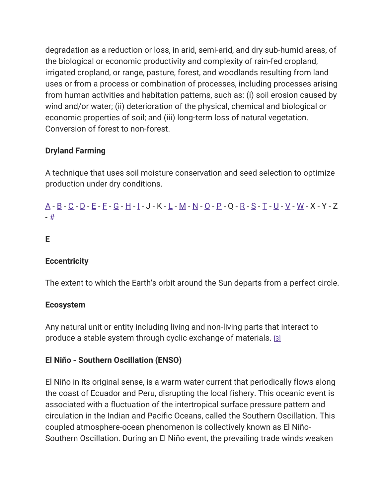degradation as a reduction or loss, in arid, semi-arid, and dry sub-humid areas, of the biological or economic productivity and complexity of rain-fed cropland, irrigated cropland, or range, pasture, forest, and woodlands resulting from land uses or from a process or combination of processes, including processes arising from human activities and habitation patterns, such as: (i) soil erosion caused by wind and/or water; (ii) deterioration of the physical, chemical and biological or economic properties of soil; and (iii) long-term loss of natural vegetation. Conversion of forest to non-forest.

# Dryland Farming

A technique that uses soil moisture conservation and seed selection to optimize production under dry conditions.

# [A](https://19january2017snapshot.epa.gov/climatechange/glossary-climate-change-terms_.html#A) - [B](https://19january2017snapshot.epa.gov/climatechange/glossary-climate-change-terms_.html#B) - [C](https://19january2017snapshot.epa.gov/climatechange/glossary-climate-change-terms_.html#C) - [D](https://19january2017snapshot.epa.gov/climatechange/glossary-climate-change-terms_.html#D) - [E](https://19january2017snapshot.epa.gov/climatechange/glossary-climate-change-terms_.html#E) - [F](https://19january2017snapshot.epa.gov/climatechange/glossary-climate-change-terms_.html#F) - [G](https://19january2017snapshot.epa.gov/climatechange/glossary-climate-change-terms_.html#G) - [H](https://19january2017snapshot.epa.gov/climatechange/glossary-climate-change-terms_.html#H) - [I](https://19january2017snapshot.epa.gov/climatechange/glossary-climate-change-terms_.html#I) - J - K - [L](https://19january2017snapshot.epa.gov/climatechange/glossary-climate-change-terms_.html#L) - [M](https://19january2017snapshot.epa.gov/climatechange/glossary-climate-change-terms_.html#M) - [N](https://19january2017snapshot.epa.gov/climatechange/glossary-climate-change-terms_.html#N) - [O](https://19january2017snapshot.epa.gov/climatechange/glossary-climate-change-terms_.html#O) - [P](https://19january2017snapshot.epa.gov/climatechange/glossary-climate-change-terms_.html#P) - Q - [R](https://19january2017snapshot.epa.gov/climatechange/glossary-climate-change-terms_.html#R) - [S](https://19january2017snapshot.epa.gov/climatechange/glossary-climate-change-terms_.html#S) - [T](https://19january2017snapshot.epa.gov/climatechange/glossary-climate-change-terms_.html#T) - [U](https://19january2017snapshot.epa.gov/climatechange/glossary-climate-change-terms_.html#U) - [V](https://19january2017snapshot.epa.gov/climatechange/glossary-climate-change-terms_.html#V) - [W](https://19january2017snapshot.epa.gov/climatechange/glossary-climate-change-terms_.html#W) - X - Y - Z - [#](https://19january2017snapshot.epa.gov/climatechange/glossary-climate-change-terms_.html)

#### E

#### **Eccentricity**

The extent to which the Earth's orbit around the Sun departs from a perfect circle.

#### Ecosystem

Any natural unit or entity including living and non-living parts that interact to produce a stable system through cyclic exchange of materials. [\[3\]](https://19january2017snapshot.epa.gov/climatechange/glossary-climate-change-terms_.html#3)

#### El Niño - Southern Oscillation (ENSO)

El Niño in its original sense, is a warm water current that periodically flows along the coast of Ecuador and Peru, disrupting the local fishery. This oceanic event is associated with a fluctuation of the intertropical surface pressure pattern and circulation in the Indian and Pacific Oceans, called the Southern Oscillation. This coupled atmosphere-ocean phenomenon is collectively known as El Niño-Southern Oscillation. During an El Niño event, the prevailing trade winds weaken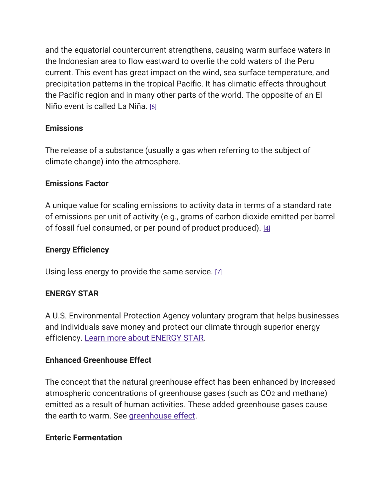and the equatorial countercurrent strengthens, causing warm surface waters in the Indonesian area to flow eastward to overlie the cold waters of the Peru current. This event has great impact on the wind, sea surface temperature, and precipitation patterns in the tropical Pacific. It has climatic effects throughout the Pacific region and in many other parts of the world. The opposite of an El Niño event is called La Niña. [\[6\]](https://19january2017snapshot.epa.gov/climatechange/glossary-climate-change-terms_.html#6)

## Emissions

The release of a substance (usually a gas when referring to the subject of climate change) into the atmosphere.

## Emissions Factor

A unique value for scaling emissions to activity data in terms of a standard rate of emissions per unit of activity (e.g., grams of carbon dioxide emitted per barrel of fossil fuel consumed, or per pound of product produced). [\[4\]](https://19january2017snapshot.epa.gov/climatechange/glossary-climate-change-terms_.html#4)

## Energy Efficiency

Using less energy to provide the same service. [\[7\]](https://19january2017snapshot.epa.gov/climatechange/glossary-climate-change-terms_.html#7)

#### ENERGY STAR

A U.S. Environmental Protection Agency voluntary program that helps businesses and individuals save money and protect our climate through superior energy efficiency. [Learn more about ENERGY STAR.](https://www.energystar.gov/about/)

#### Enhanced Greenhouse Effect

The concept that the natural greenhouse effect has been enhanced by increased atmospheric concentrations of greenhouse gases (such as CO2 and methane) emitted as a result of human activities. These added greenhouse gases cause the earth to warm. See [greenhouse effect.](https://19january2017snapshot.epa.gov/climatechange/glossary-climate-change-terms_.html#Greenhouse%20Effect)

#### Enteric Fermentation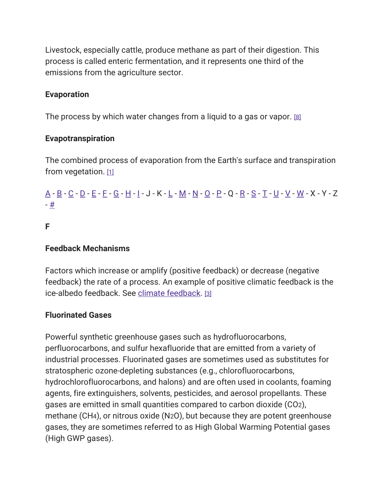Livestock, especially cattle, produce methane as part of their digestion. This process is called enteric fermentation, and it represents one third of the emissions from the agriculture sector.

#### Evaporation

The process by which water changes from a liquid to a gas or vapor. [\[8\]](https://19january2017snapshot.epa.gov/climatechange/glossary-climate-change-terms_.html#8)

#### Evapotranspiration

The combined process of evaporation from the Earth's surface and transpiration from vegetation.  $[1]$ 

# [A](https://19january2017snapshot.epa.gov/climatechange/glossary-climate-change-terms_.html#A) - [B](https://19january2017snapshot.epa.gov/climatechange/glossary-climate-change-terms_.html#B) - [C](https://19january2017snapshot.epa.gov/climatechange/glossary-climate-change-terms_.html#C) - [D](https://19january2017snapshot.epa.gov/climatechange/glossary-climate-change-terms_.html#D) - [E](https://19january2017snapshot.epa.gov/climatechange/glossary-climate-change-terms_.html#E) - [F](https://19january2017snapshot.epa.gov/climatechange/glossary-climate-change-terms_.html#F) - [G](https://19january2017snapshot.epa.gov/climatechange/glossary-climate-change-terms_.html#G) - [H](https://19january2017snapshot.epa.gov/climatechange/glossary-climate-change-terms_.html#H) - [I](https://19january2017snapshot.epa.gov/climatechange/glossary-climate-change-terms_.html#I) - J - K - [L](https://19january2017snapshot.epa.gov/climatechange/glossary-climate-change-terms_.html#L) - [M](https://19january2017snapshot.epa.gov/climatechange/glossary-climate-change-terms_.html#M) - [N](https://19january2017snapshot.epa.gov/climatechange/glossary-climate-change-terms_.html#N) - [O](https://19january2017snapshot.epa.gov/climatechange/glossary-climate-change-terms_.html#O) - [P](https://19january2017snapshot.epa.gov/climatechange/glossary-climate-change-terms_.html#P) - Q - [R](https://19january2017snapshot.epa.gov/climatechange/glossary-climate-change-terms_.html#R) - [S](https://19january2017snapshot.epa.gov/climatechange/glossary-climate-change-terms_.html#S) - [T](https://19january2017snapshot.epa.gov/climatechange/glossary-climate-change-terms_.html#T) - [U](https://19january2017snapshot.epa.gov/climatechange/glossary-climate-change-terms_.html#U) - [V](https://19january2017snapshot.epa.gov/climatechange/glossary-climate-change-terms_.html#V) - [W](https://19january2017snapshot.epa.gov/climatechange/glossary-climate-change-terms_.html#W) - X - Y - Z - [#](https://19january2017snapshot.epa.gov/climatechange/glossary-climate-change-terms_.html)

#### F

#### Feedback Mechanisms

Factors which increase or amplify (positive feedback) or decrease (negative feedback) the rate of a process. An example of positive climatic feedback is the ice-albedo feedback. See [climate feedback.](https://19january2017snapshot.epa.gov/climatechange/glossary-climate-change-terms_.html#Climate%20Feedback) [\[3\]](https://19january2017snapshot.epa.gov/climatechange/glossary-climate-change-terms_.html#3)

#### Fluorinated Gases

Powerful synthetic greenhouse gases such as hydrofluorocarbons, perfluorocarbons, and sulfur hexafluoride that are emitted from a variety of industrial processes. Fluorinated gases are sometimes used as substitutes for stratospheric ozone-depleting substances (e.g., chlorofluorocarbons, hydrochlorofluorocarbons, and halons) and are often used in coolants, foaming agents, fire extinguishers, solvents, pesticides, and aerosol propellants. These gases are emitted in small quantities compared to carbon dioxide (CO2), methane (CH4), or nitrous oxide (N2O), but because they are potent greenhouse gases, they are sometimes referred to as High Global Warming Potential gases (High GWP gases).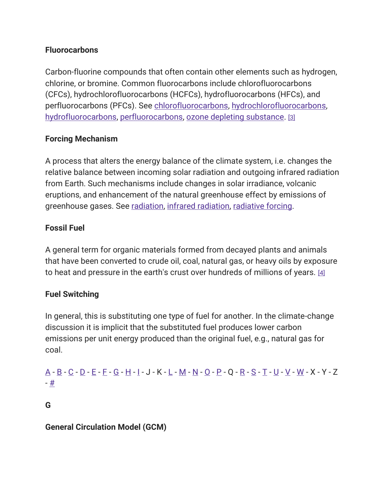## **Fluorocarbons**

Carbon-fluorine compounds that often contain other elements such as hydrogen, chlorine, or bromine. Common fluorocarbons include chlorofluorocarbons (CFCs), hydrochlorofluorocarbons (HCFCs), hydrofluorocarbons (HFCs), and perfluorocarbons (PFCs). See [chlorofluorocarbons,](https://19january2017snapshot.epa.gov/climatechange/glossary-climate-change-terms_.html#Chlorofluorocarbons) [hydrochlorofluorocarbons,](https://19january2017snapshot.epa.gov/climatechange/glossary-climate-change-terms_.html#Hydrochlorofluorocarbons%20(HCFCs)) [hydrofluorocarbons,](https://19january2017snapshot.epa.gov/climatechange/glossary-climate-change-terms_.html#Hydrofluorocarbons%20(HFCs)) [perfluorocarbons,](https://19january2017snapshot.epa.gov/climatechange/glossary-climate-change-terms_.html#Perfluorocarbons%20(PFCs)) [ozone depleting substance.](https://19january2017snapshot.epa.gov/climatechange/glossary-climate-change-terms_.html#Ozone%20Depleting%20Substance%20(ODS)) [\[3\]](https://19january2017snapshot.epa.gov/climatechange/glossary-climate-change-terms_.html#3)

# Forcing Mechanism

A process that alters the energy balance of the climate system, i.e. changes the relative balance between incoming solar radiation and outgoing infrared radiation from Earth. Such mechanisms include changes in solar irradiance, volcanic eruptions, and enhancement of the natural greenhouse effect by emissions of greenhouse gases. See [radiation,](https://19january2017snapshot.epa.gov/climatechange/glossary-climate-change-terms_.html#Radiation) [infrared radiation,](https://19january2017snapshot.epa.gov/climatechange/glossary-climate-change-terms_.html#Infrared%20Radiation) [radiative forcing.](https://19january2017snapshot.epa.gov/climatechange/glossary-climate-change-terms_.html#Radiative%20Forcing)

# Fossil Fuel

A general term for organic materials formed from decayed plants and animals that have been converted to crude oil, coal, natural gas, or heavy oils by exposure to heat and pressure in the earth's crust over hundreds of millions of years. [\[4\]](https://19january2017snapshot.epa.gov/climatechange/glossary-climate-change-terms_.html#4)

# Fuel Switching

In general, this is substituting one type of fuel for another. In the climate-change discussion it is implicit that the substituted fuel produces lower carbon emissions per unit energy produced than the original fuel, e.g., natural gas for coal.

# [A](https://19january2017snapshot.epa.gov/climatechange/glossary-climate-change-terms_.html#A) - [B](https://19january2017snapshot.epa.gov/climatechange/glossary-climate-change-terms_.html#B) - [C](https://19january2017snapshot.epa.gov/climatechange/glossary-climate-change-terms_.html#C) - [D](https://19january2017snapshot.epa.gov/climatechange/glossary-climate-change-terms_.html#D) - [E](https://19january2017snapshot.epa.gov/climatechange/glossary-climate-change-terms_.html#E) - [F](https://19january2017snapshot.epa.gov/climatechange/glossary-climate-change-terms_.html#F) - [G](https://19january2017snapshot.epa.gov/climatechange/glossary-climate-change-terms_.html#G) - [H](https://19january2017snapshot.epa.gov/climatechange/glossary-climate-change-terms_.html#H) - [I](https://19january2017snapshot.epa.gov/climatechange/glossary-climate-change-terms_.html#I) - J - K - [L](https://19january2017snapshot.epa.gov/climatechange/glossary-climate-change-terms_.html#L) - [M](https://19january2017snapshot.epa.gov/climatechange/glossary-climate-change-terms_.html#M) - [N](https://19january2017snapshot.epa.gov/climatechange/glossary-climate-change-terms_.html#N) - [O](https://19january2017snapshot.epa.gov/climatechange/glossary-climate-change-terms_.html#O) - [P](https://19january2017snapshot.epa.gov/climatechange/glossary-climate-change-terms_.html#P) - Q - [R](https://19january2017snapshot.epa.gov/climatechange/glossary-climate-change-terms_.html#R) - [S](https://19january2017snapshot.epa.gov/climatechange/glossary-climate-change-terms_.html#S) - [T](https://19january2017snapshot.epa.gov/climatechange/glossary-climate-change-terms_.html#T) - [U](https://19january2017snapshot.epa.gov/climatechange/glossary-climate-change-terms_.html#U) - [V](https://19january2017snapshot.epa.gov/climatechange/glossary-climate-change-terms_.html#V) - [W](https://19january2017snapshot.epa.gov/climatechange/glossary-climate-change-terms_.html#W) - X - Y - Z - [#](https://19january2017snapshot.epa.gov/climatechange/glossary-climate-change-terms_.html)

#### G

General Circulation Model (GCM)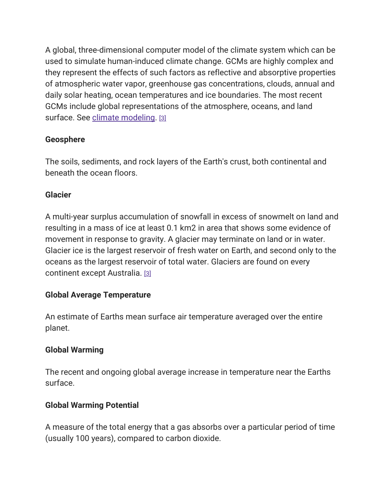A global, three-dimensional computer model of the climate system which can be used to simulate human-induced climate change. GCMs are highly complex and they represent the effects of such factors as reflective and absorptive properties of atmospheric water vapor, greenhouse gas concentrations, clouds, annual and daily solar heating, ocean temperatures and ice boundaries. The most recent GCMs include global representations of the atmosphere, oceans, and land surface. See [climate modeling.](https://19january2017snapshot.epa.gov/climatechange/glossary-climate-change-terms_.html#Climate%20Model) [\[3\]](https://19january2017snapshot.epa.gov/climatechange/glossary-climate-change-terms_.html#3)

## Geosphere

The soils, sediments, and rock layers of the Earth's crust, both continental and beneath the ocean floors.

## Glacier

A multi-year surplus accumulation of snowfall in excess of snowmelt on land and resulting in a mass of ice at least 0.1 km2 in area that shows some evidence of movement in response to gravity. A glacier may terminate on land or in water. Glacier ice is the largest reservoir of fresh water on Earth, and second only to the oceans as the largest reservoir of total water. Glaciers are found on every continent except Australia. [\[3\]](https://19january2017snapshot.epa.gov/climatechange/glossary-climate-change-terms_.html#3)

# Global Average Temperature

An estimate of Earths mean surface air temperature averaged over the entire planet.

# Global Warming

The recent and ongoing global average increase in temperature near the Earths surface.

# Global Warming Potential

A measure of the total energy that a gas absorbs over a particular period of time (usually 100 years), compared to carbon dioxide.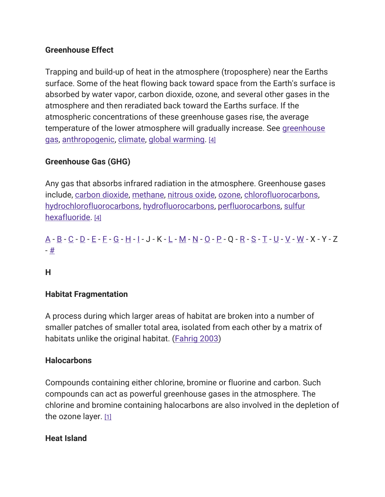## Greenhouse Effect

Trapping and build-up of heat in the atmosphere (troposphere) near the Earths surface. Some of the heat flowing back toward space from the Earth's surface is absorbed by water vapor, carbon dioxide, ozone, and several other gases in the atmosphere and then reradiated back toward the Earths surface. If the atmospheric concentrations of these greenhouse gases rise, the average temperature of the lower atmosphere will gradually increase. See greenhouse [gas,](https://19january2017snapshot.epa.gov/climatechange/glossary-climate-change-terms_.html#Greenhouse%20Gas%20(GHG)) [anthropogenic,](https://19january2017snapshot.epa.gov/climatechange/glossary-climate-change-terms_.html#Anthropogenic) [climate,](https://19january2017snapshot.epa.gov/climatechange/glossary-climate-change-terms_.html#Climate) [global warming.](https://19january2017snapshot.epa.gov/climatechange/glossary-climate-change-terms_.html#Global%20Warming) [\[4\]](https://19january2017snapshot.epa.gov/climatechange/glossary-climate-change-terms_.html#4)

# Greenhouse Gas (GHG)

Any gas that absorbs infrared radiation in the atmosphere. Greenhouse gases include, [carbon dioxide,](https://19january2017snapshot.epa.gov/climatechange/glossary-climate-change-terms_.html#Carbon%20Dioxide) [methane,](https://19january2017snapshot.epa.gov/climatechange/glossary-climate-change-terms_.html#Methane%20(CH4)) [nitrous oxide,](https://19january2017snapshot.epa.gov/climatechange/glossary-climate-change-terms_.html#Nitrous%20Oxide%20(N2O)) [ozone,](https://19january2017snapshot.epa.gov/climatechange/glossary-climate-change-terms_.html#Ozone) [chlorofluorocarbons,](https://19january2017snapshot.epa.gov/climatechange/glossary-climate-change-terms_.html#Chlorofluorocarbons) [hydrochlorofluorocarbons,](https://19january2017snapshot.epa.gov/climatechange/glossary-climate-change-terms_.html#Hydrochlorofluorocarbons%20(HCFCs)) [hydrofluorocarbons,](https://19january2017snapshot.epa.gov/climatechange/glossary-climate-change-terms_.html#Hydrofluorocarbons%20(HFCs)) [perfluorocarbons,](https://19january2017snapshot.epa.gov/climatechange/glossary-climate-change-terms_.html#Perfluorocarbons%20(PFCs)) [sulfur](https://19january2017snapshot.epa.gov/climatechange/glossary-climate-change-terms_.html#Sulfur%20Hexafluoride%20(SF6))  [hexafluoride.](https://19january2017snapshot.epa.gov/climatechange/glossary-climate-change-terms_.html#Sulfur%20Hexafluoride%20(SF6)) [\[4\]](https://19january2017snapshot.epa.gov/climatechange/glossary-climate-change-terms_.html#4)

[A](https://19january2017snapshot.epa.gov/climatechange/glossary-climate-change-terms_.html#A) - [B](https://19january2017snapshot.epa.gov/climatechange/glossary-climate-change-terms_.html#B) - [C](https://19january2017snapshot.epa.gov/climatechange/glossary-climate-change-terms_.html#C) - [D](https://19january2017snapshot.epa.gov/climatechange/glossary-climate-change-terms_.html#D) - [E](https://19january2017snapshot.epa.gov/climatechange/glossary-climate-change-terms_.html#E) - [F](https://19january2017snapshot.epa.gov/climatechange/glossary-climate-change-terms_.html#F) - [G](https://19january2017snapshot.epa.gov/climatechange/glossary-climate-change-terms_.html#G) - [H](https://19january2017snapshot.epa.gov/climatechange/glossary-climate-change-terms_.html#H) - [I](https://19january2017snapshot.epa.gov/climatechange/glossary-climate-change-terms_.html#I) - J - K - [L](https://19january2017snapshot.epa.gov/climatechange/glossary-climate-change-terms_.html#L) - [M](https://19january2017snapshot.epa.gov/climatechange/glossary-climate-change-terms_.html#M) - [N](https://19january2017snapshot.epa.gov/climatechange/glossary-climate-change-terms_.html#N) - [O](https://19january2017snapshot.epa.gov/climatechange/glossary-climate-change-terms_.html#O) - [P](https://19january2017snapshot.epa.gov/climatechange/glossary-climate-change-terms_.html#P) - Q - [R](https://19january2017snapshot.epa.gov/climatechange/glossary-climate-change-terms_.html#R) - [S](https://19january2017snapshot.epa.gov/climatechange/glossary-climate-change-terms_.html#S) - [T](https://19january2017snapshot.epa.gov/climatechange/glossary-climate-change-terms_.html#T) - [U](https://19january2017snapshot.epa.gov/climatechange/glossary-climate-change-terms_.html#U) - [V](https://19january2017snapshot.epa.gov/climatechange/glossary-climate-change-terms_.html#V) - [W](https://19january2017snapshot.epa.gov/climatechange/glossary-climate-change-terms_.html#W) - X - Y - Z - [#](https://19january2017snapshot.epa.gov/climatechange/glossary-climate-change-terms_.html)

H

#### Habitat Fragmentation

A process during which larger areas of habitat are broken into a number of smaller patches of smaller total area, isolated from each other by a matrix of habitats unlike the original habitat. (**Fahrig 2003**)

#### **Halocarbons**

Compounds containing either chlorine, bromine or fluorine and carbon. Such compounds can act as powerful greenhouse gases in the atmosphere. The chlorine and bromine containing halocarbons are also involved in the depletion of the ozone layer.  $[1]$ 

#### Heat Island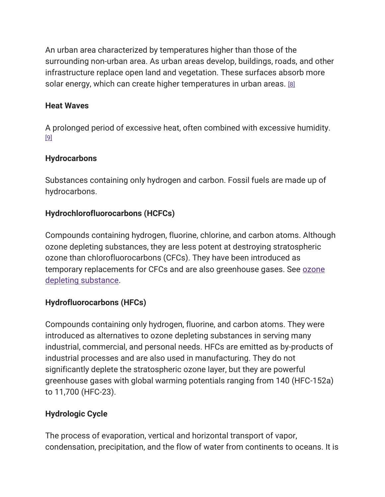An urban area characterized by temperatures higher than those of the surrounding non-urban area. As urban areas develop, buildings, roads, and other infrastructure replace open land and vegetation. These surfaces absorb more solar energy, which can create higher temperatures in urban areas. [\[8\]](https://19january2017snapshot.epa.gov/climatechange/glossary-climate-change-terms_.html#8)

## Heat Waves

A prolonged period of excessive heat, often combined with excessive humidity. [\[9\]](https://19january2017snapshot.epa.gov/climatechange/glossary-climate-change-terms_.html#9)

# **Hydrocarbons**

Substances containing only hydrogen and carbon. Fossil fuels are made up of hydrocarbons.

# Hydrochlorofluorocarbons (HCFCs)

Compounds containing hydrogen, fluorine, chlorine, and carbon atoms. Although ozone depleting substances, they are less potent at destroying stratospheric ozone than chlorofluorocarbons (CFCs). They have been introduced as temporary replacements for CFCs and are also greenhouse gases. See [ozone](https://19january2017snapshot.epa.gov/climatechange/glossary-climate-change-terms_.html#Ozone%20Depleting%20Substance%20(ODS))  [depleting substance.](https://19january2017snapshot.epa.gov/climatechange/glossary-climate-change-terms_.html#Ozone%20Depleting%20Substance%20(ODS))

# Hydrofluorocarbons (HFCs)

Compounds containing only hydrogen, fluorine, and carbon atoms. They were introduced as alternatives to ozone depleting substances in serving many industrial, commercial, and personal needs. HFCs are emitted as by-products of industrial processes and are also used in manufacturing. They do not significantly deplete the stratospheric ozone layer, but they are powerful greenhouse gases with global warming potentials ranging from 140 (HFC-152a) to 11,700 (HFC-23).

# Hydrologic Cycle

The process of evaporation, vertical and horizontal transport of vapor, condensation, precipitation, and the flow of water from continents to oceans. It is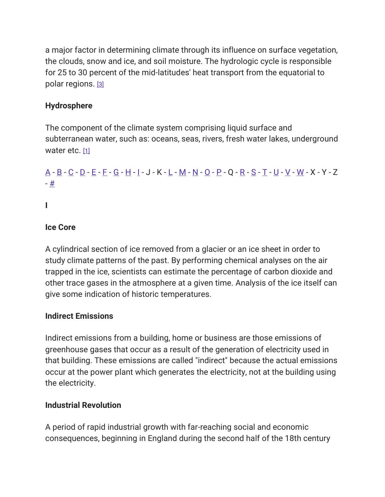a major factor in determining climate through its influence on surface vegetation, the clouds, snow and ice, and soil moisture. The hydrologic cycle is responsible for 25 to 30 percent of the mid-latitudes' heat transport from the equatorial to polar regions. [\[3\]](https://19january2017snapshot.epa.gov/climatechange/glossary-climate-change-terms_.html#3)

# Hydrosphere

The component of the climate system comprising liquid surface and subterranean water, such as: oceans, seas, rivers, fresh water lakes, underground water etc. [\[1\]](https://19january2017snapshot.epa.gov/climatechange/glossary-climate-change-terms_.html#1)

# <u>[A](https://19january2017snapshot.epa.gov/climatechange/glossary-climate-change-terms_.html#A) - [B](https://19january2017snapshot.epa.gov/climatechange/glossary-climate-change-terms_.html#B) - [C](https://19january2017snapshot.epa.gov/climatechange/glossary-climate-change-terms_.html#C) - [D](https://19january2017snapshot.epa.gov/climatechange/glossary-climate-change-terms_.html#D) - [E](https://19january2017snapshot.epa.gov/climatechange/glossary-climate-change-terms_.html#E) - [F](https://19january2017snapshot.epa.gov/climatechange/glossary-climate-change-terms_.html#F) - [G](https://19january2017snapshot.epa.gov/climatechange/glossary-climate-change-terms_.html#G) - [H](https://19january2017snapshot.epa.gov/climatechange/glossary-climate-change-terms_.html#H) - [I](https://19january2017snapshot.epa.gov/climatechange/glossary-climate-change-terms_.html#I)</u> - J - K - <u>[L](https://19january2017snapshot.epa.gov/climatechange/glossary-climate-change-terms_.html#L) - [M](https://19january2017snapshot.epa.gov/climatechange/glossary-climate-change-terms_.html#M) - [N](https://19january2017snapshot.epa.gov/climatechange/glossary-climate-change-terms_.html#N) - [O](https://19january2017snapshot.epa.gov/climatechange/glossary-climate-change-terms_.html#O) - [P](https://19january2017snapshot.epa.gov/climatechange/glossary-climate-change-terms_.html#P) - Q - [R](https://19january2017snapshot.epa.gov/climatechange/glossary-climate-change-terms_.html#R) - [S](https://19january2017snapshot.epa.gov/climatechange/glossary-climate-change-terms_.html#S) - [T](https://19january2017snapshot.epa.gov/climatechange/glossary-climate-change-terms_.html#T) - [U](https://19january2017snapshot.epa.gov/climatechange/glossary-climate-change-terms_.html#U) - [V](https://19january2017snapshot.epa.gov/climatechange/glossary-climate-change-terms_.html#V) - [W](https://19january2017snapshot.epa.gov/climatechange/glossary-climate-change-terms_.html#W)</u> - X - Y - Z - [#](https://19january2017snapshot.epa.gov/climatechange/glossary-climate-change-terms_.html)

I

# Ice Core

A cylindrical section of ice removed from a glacier or an ice sheet in order to study climate patterns of the past. By performing chemical analyses on the air trapped in the ice, scientists can estimate the percentage of carbon dioxide and other trace gases in the atmosphere at a given time. Analysis of the ice itself can give some indication of historic temperatures.

# Indirect Emissions

Indirect emissions from a building, home or business are those emissions of greenhouse gases that occur as a result of the generation of electricity used in that building. These emissions are called "indirect" because the actual emissions occur at the power plant which generates the electricity, not at the building using the electricity.

#### Industrial Revolution

A period of rapid industrial growth with far-reaching social and economic consequences, beginning in England during the second half of the 18th century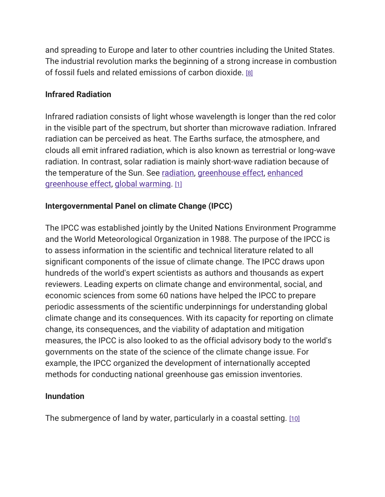and spreading to Europe and later to other countries including the United States. The industrial revolution marks the beginning of a strong increase in combustion of fossil fuels and related emissions of carbon dioxide. [\[8\]](https://19january2017snapshot.epa.gov/climatechange/glossary-climate-change-terms_.html#8)

#### Infrared Radiation

Infrared radiation consists of light whose wavelength is longer than the red color in the visible part of the spectrum, but shorter than microwave radiation. Infrared radiation can be perceived as heat. The Earths surface, the atmosphere, and clouds all emit infrared radiation, which is also known as terrestrial or long-wave radiation. In contrast, solar radiation is mainly short-wave radiation because of the temperature of the Sun. See [radiation,](https://19january2017snapshot.epa.gov/climatechange/glossary-climate-change-terms_.html#Radiation) [greenhouse effect,](https://19january2017snapshot.epa.gov/climatechange/glossary-climate-change-terms_.html#Greenhouse%20Effect) [enhanced](https://19january2017snapshot.epa.gov/climatechange/glossary-climate-change-terms_.html#Enhanced%20Greenhouse%20Effect)  [greenhouse effect,](https://19january2017snapshot.epa.gov/climatechange/glossary-climate-change-terms_.html#Enhanced%20Greenhouse%20Effect) [global warming.](https://19january2017snapshot.epa.gov/climatechange/glossary-climate-change-terms_.html#Global%20Warming) [\[1\]](https://19january2017snapshot.epa.gov/climatechange/glossary-climate-change-terms_.html#1)

#### Intergovernmental Panel on climate Change (IPCC)

The IPCC was established jointly by the United Nations Environment Programme and the World Meteorological Organization in 1988. The purpose of the IPCC is to assess information in the scientific and technical literature related to all significant components of the issue of climate change. The IPCC draws upon hundreds of the world's expert scientists as authors and thousands as expert reviewers. Leading experts on climate change and environmental, social, and economic sciences from some 60 nations have helped the IPCC to prepare periodic assessments of the scientific underpinnings for understanding global climate change and its consequences. With its capacity for reporting on climate change, its consequences, and the viability of adaptation and mitigation measures, the IPCC is also looked to as the official advisory body to the world's governments on the state of the science of the climate change issue. For example, the IPCC organized the development of internationally accepted methods for conducting national greenhouse gas emission inventories.

#### Inundation

The submergence of land by water, particularly in a coastal setting. [\[10\]](https://19january2017snapshot.epa.gov/climatechange/glossary-climate-change-terms_.html#10)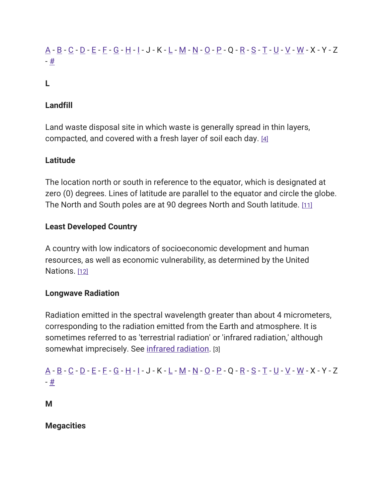# [A](https://19january2017snapshot.epa.gov/climatechange/glossary-climate-change-terms_.html#A) - [B](https://19january2017snapshot.epa.gov/climatechange/glossary-climate-change-terms_.html#B) - [C](https://19january2017snapshot.epa.gov/climatechange/glossary-climate-change-terms_.html#C) - [D](https://19january2017snapshot.epa.gov/climatechange/glossary-climate-change-terms_.html#D) - [E](https://19january2017snapshot.epa.gov/climatechange/glossary-climate-change-terms_.html#E) - [F](https://19january2017snapshot.epa.gov/climatechange/glossary-climate-change-terms_.html#F) - [G](https://19january2017snapshot.epa.gov/climatechange/glossary-climate-change-terms_.html#G) - [H](https://19january2017snapshot.epa.gov/climatechange/glossary-climate-change-terms_.html#H) - [I](https://19january2017snapshot.epa.gov/climatechange/glossary-climate-change-terms_.html#I) - J - K - [L](https://19january2017snapshot.epa.gov/climatechange/glossary-climate-change-terms_.html#L) - [M](https://19january2017snapshot.epa.gov/climatechange/glossary-climate-change-terms_.html#M) - [N](https://19january2017snapshot.epa.gov/climatechange/glossary-climate-change-terms_.html#N) - [O](https://19january2017snapshot.epa.gov/climatechange/glossary-climate-change-terms_.html#O) - [P](https://19january2017snapshot.epa.gov/climatechange/glossary-climate-change-terms_.html#P) - Q - [R](https://19january2017snapshot.epa.gov/climatechange/glossary-climate-change-terms_.html#R) - [S](https://19january2017snapshot.epa.gov/climatechange/glossary-climate-change-terms_.html#S) - [T](https://19january2017snapshot.epa.gov/climatechange/glossary-climate-change-terms_.html#T) - [U](https://19january2017snapshot.epa.gov/climatechange/glossary-climate-change-terms_.html#U) - [V](https://19january2017snapshot.epa.gov/climatechange/glossary-climate-change-terms_.html#V) - [W](https://19january2017snapshot.epa.gov/climatechange/glossary-climate-change-terms_.html#W) - X - Y - Z - [#](https://19january2017snapshot.epa.gov/climatechange/glossary-climate-change-terms_.html)

# L

#### Landfill

Land waste disposal site in which waste is generally spread in thin layers, compacted, and covered with a fresh layer of soil each day. [\[4\]](https://19january2017snapshot.epa.gov/climatechange/glossary-climate-change-terms_.html#4)

#### Latitude

The location north or south in reference to the equator, which is designated at zero (0) degrees. Lines of latitude are parallel to the equator and circle the globe. The North and South poles are at 90 degrees North and South latitude. [\[11\]](https://19january2017snapshot.epa.gov/climatechange/glossary-climate-change-terms_.html#11)

#### Least Developed Country

A country with low indicators of socioeconomic development and human resources, as well as economic vulnerability, as determined by the United Nations. [\[12\]](https://19january2017snapshot.epa.gov/climatechange/glossary-climate-change-terms_.html#12)

#### Longwave Radiation

Radiation emitted in the spectral wavelength greater than about 4 micrometers, corresponding to the radiation emitted from the Earth and atmosphere. It is sometimes referred to as 'terrestrial radiation' or 'infrared radiation,' although somewhat imprecisely. See [infrared radiation.](https://19january2017snapshot.epa.gov/climatechange/glossary-climate-change-terms_.html#Infrared%20Radiation) [3]

# [A](https://19january2017snapshot.epa.gov/climatechange/glossary-climate-change-terms_.html#A) - [B](https://19january2017snapshot.epa.gov/climatechange/glossary-climate-change-terms_.html#B) - [C](https://19january2017snapshot.epa.gov/climatechange/glossary-climate-change-terms_.html#C) - [D](https://19january2017snapshot.epa.gov/climatechange/glossary-climate-change-terms_.html#D) - [E](https://19january2017snapshot.epa.gov/climatechange/glossary-climate-change-terms_.html#E) - [F](https://19january2017snapshot.epa.gov/climatechange/glossary-climate-change-terms_.html#F) - [G](https://19january2017snapshot.epa.gov/climatechange/glossary-climate-change-terms_.html#G) - [H](https://19january2017snapshot.epa.gov/climatechange/glossary-climate-change-terms_.html#H) - [I](https://19january2017snapshot.epa.gov/climatechange/glossary-climate-change-terms_.html#I) - J - K - [L](https://19january2017snapshot.epa.gov/climatechange/glossary-climate-change-terms_.html#L) - [M](https://19january2017snapshot.epa.gov/climatechange/glossary-climate-change-terms_.html#M) - [N](https://19january2017snapshot.epa.gov/climatechange/glossary-climate-change-terms_.html#N) - [O](https://19january2017snapshot.epa.gov/climatechange/glossary-climate-change-terms_.html#O) - [P](https://19january2017snapshot.epa.gov/climatechange/glossary-climate-change-terms_.html#P) - Q - [R](https://19january2017snapshot.epa.gov/climatechange/glossary-climate-change-terms_.html#R) - [S](https://19january2017snapshot.epa.gov/climatechange/glossary-climate-change-terms_.html#S) - [T](https://19january2017snapshot.epa.gov/climatechange/glossary-climate-change-terms_.html#T) - [U](https://19january2017snapshot.epa.gov/climatechange/glossary-climate-change-terms_.html#U) - [V](https://19january2017snapshot.epa.gov/climatechange/glossary-climate-change-terms_.html#V) - [W](https://19january2017snapshot.epa.gov/climatechange/glossary-climate-change-terms_.html#W) - X - Y - Z - [#](https://19january2017snapshot.epa.gov/climatechange/glossary-climate-change-terms_.html)

M

#### **Megacities**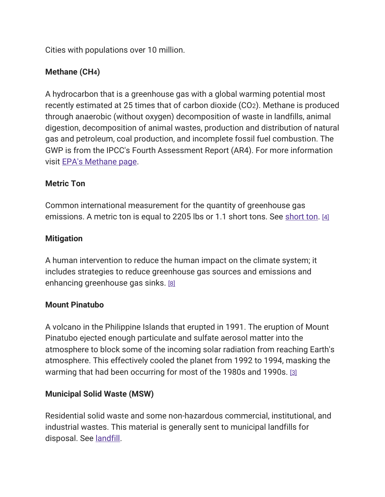Cities with populations over 10 million.

# Methane (CH4)

A hydrocarbon that is a greenhouse gas with a global warming potential most recently estimated at 25 times that of carbon dioxide (CO2). Methane is produced through anaerobic (without oxygen) decomposition of waste in landfills, animal digestion, decomposition of animal wastes, production and distribution of natural gas and petroleum, coal production, and incomplete fossil fuel combustion. The GWP is from the IPCC's Fourth Assessment Report (AR4). For more information visit [EPA's Methane page.](https://19january2017snapshot.epa.gov/ghgemissions/overview-greenhouse-gases)

## Metric Ton

Common international measurement for the quantity of greenhouse gas emissions. A metric ton is equal to 2205 lbs or 1.1 short tons. See [short ton.](https://19january2017snapshot.epa.gov/climatechange/glossary-climate-change-terms_.html#Short%20Ton) [\[4\]](https://19january2017snapshot.epa.gov/climatechange/glossary-climate-change-terms_.html#4)

#### **Mitigation**

A human intervention to reduce the human impact on the climate system; it includes strategies to reduce greenhouse gas sources and emissions and enhancing greenhouse gas sinks. [\[8\]](https://19january2017snapshot.epa.gov/climatechange/glossary-climate-change-terms_.html#8)

#### Mount Pinatubo

A volcano in the Philippine Islands that erupted in 1991. The eruption of Mount Pinatubo ejected enough particulate and sulfate aerosol matter into the atmosphere to block some of the incoming solar radiation from reaching Earth's atmosphere. This effectively cooled the planet from 1992 to 1994, masking the warming that had been occurring for most of the 1980s and 1990s. [\[3\]](https://19january2017snapshot.epa.gov/climatechange/glossary-climate-change-terms_.html#3)

#### Municipal Solid Waste (MSW)

Residential solid waste and some non-hazardous commercial, institutional, and industrial wastes. This material is generally sent to municipal landfills for disposal. See [landfill.](https://19january2017snapshot.epa.gov/climatechange/glossary-climate-change-terms_.html#Landfill)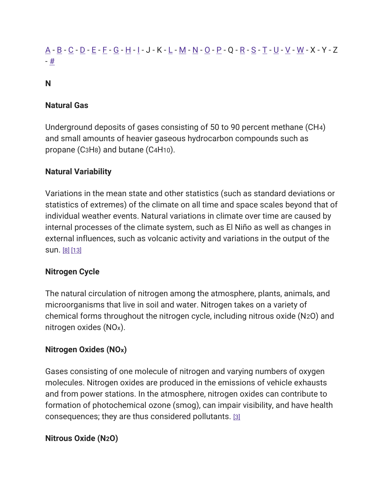# [A](https://19january2017snapshot.epa.gov/climatechange/glossary-climate-change-terms_.html#A) - [B](https://19january2017snapshot.epa.gov/climatechange/glossary-climate-change-terms_.html#B) - [C](https://19january2017snapshot.epa.gov/climatechange/glossary-climate-change-terms_.html#C) - [D](https://19january2017snapshot.epa.gov/climatechange/glossary-climate-change-terms_.html#D) - [E](https://19january2017snapshot.epa.gov/climatechange/glossary-climate-change-terms_.html#E) - [F](https://19january2017snapshot.epa.gov/climatechange/glossary-climate-change-terms_.html#F) - [G](https://19january2017snapshot.epa.gov/climatechange/glossary-climate-change-terms_.html#G) - [H](https://19january2017snapshot.epa.gov/climatechange/glossary-climate-change-terms_.html#H) - [I](https://19january2017snapshot.epa.gov/climatechange/glossary-climate-change-terms_.html#I) - J - K - [L](https://19january2017snapshot.epa.gov/climatechange/glossary-climate-change-terms_.html#L) - [M](https://19january2017snapshot.epa.gov/climatechange/glossary-climate-change-terms_.html#M) - [N](https://19january2017snapshot.epa.gov/climatechange/glossary-climate-change-terms_.html#N) - [O](https://19january2017snapshot.epa.gov/climatechange/glossary-climate-change-terms_.html#O) - [P](https://19january2017snapshot.epa.gov/climatechange/glossary-climate-change-terms_.html#P) - Q - [R](https://19january2017snapshot.epa.gov/climatechange/glossary-climate-change-terms_.html#R) - [S](https://19january2017snapshot.epa.gov/climatechange/glossary-climate-change-terms_.html#S) - [T](https://19january2017snapshot.epa.gov/climatechange/glossary-climate-change-terms_.html#T) - [U](https://19january2017snapshot.epa.gov/climatechange/glossary-climate-change-terms_.html#U) - [V](https://19january2017snapshot.epa.gov/climatechange/glossary-climate-change-terms_.html#V) - [W](https://19january2017snapshot.epa.gov/climatechange/glossary-climate-change-terms_.html#W) - X - Y - Z - [#](https://19january2017snapshot.epa.gov/climatechange/glossary-climate-change-terms_.html)

#### N

#### Natural Gas

Underground deposits of gases consisting of 50 to 90 percent methane (CH4) and small amounts of heavier gaseous hydrocarbon compounds such as propane (C3H8) and butane (C4H10).

#### Natural Variability

Variations in the mean state and other statistics (such as standard deviations or statistics of extremes) of the climate on all time and space scales beyond that of individual weather events. Natural variations in climate over time are caused by internal processes of the climate system, such as El Niño as well as changes in external influences, such as volcanic activity and variations in the output of the sun. [\[8\]](https://19january2017snapshot.epa.gov/climatechange/glossary-climate-change-terms_.html#8) [\[13\]](https://19january2017snapshot.epa.gov/climatechange/glossary-climate-change-terms_.html#13)

#### Nitrogen Cycle

The natural circulation of nitrogen among the atmosphere, plants, animals, and microorganisms that live in soil and water. Nitrogen takes on a variety of chemical forms throughout the nitrogen cycle, including nitrous oxide (N2O) and nitrogen oxides (NOx).

#### Nitrogen Oxides (NOx)

Gases consisting of one molecule of nitrogen and varying numbers of oxygen molecules. Nitrogen oxides are produced in the emissions of vehicle exhausts and from power stations. In the atmosphere, nitrogen oxides can contribute to formation of photochemical ozone (smog), can impair visibility, and have health consequences; they are thus considered pollutants. [\[3\]](https://19january2017snapshot.epa.gov/climatechange/glossary-climate-change-terms_.html#3)

#### Nitrous Oxide (N2O)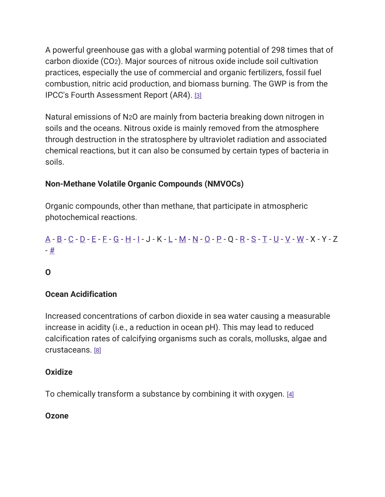A powerful greenhouse gas with a global warming potential of 298 times that of carbon dioxide (CO2). Major sources of nitrous oxide include soil cultivation practices, especially the use of commercial and organic fertilizers, fossil fuel combustion, nitric acid production, and biomass burning. The GWP is from the IPCC's Fourth Assessment Report (AR4). [\[3\]](https://19january2017snapshot.epa.gov/climatechange/glossary-climate-change-terms_.html#3)

Natural emissions of N2O are mainly from bacteria breaking down nitrogen in soils and the oceans. Nitrous oxide is mainly removed from the atmosphere through destruction in the stratosphere by ultraviolet radiation and associated chemical reactions, but it can also be consumed by certain types of bacteria in soils.

# Non-Methane Volatile Organic Compounds (NMVOCs)

Organic compounds, other than methane, that participate in atmospheric photochemical reactions.

# [A](https://19january2017snapshot.epa.gov/climatechange/glossary-climate-change-terms_.html#A) - [B](https://19january2017snapshot.epa.gov/climatechange/glossary-climate-change-terms_.html#B) - [C](https://19january2017snapshot.epa.gov/climatechange/glossary-climate-change-terms_.html#C) - [D](https://19january2017snapshot.epa.gov/climatechange/glossary-climate-change-terms_.html#D) - [E](https://19january2017snapshot.epa.gov/climatechange/glossary-climate-change-terms_.html#E) - [F](https://19january2017snapshot.epa.gov/climatechange/glossary-climate-change-terms_.html#F) - [G](https://19january2017snapshot.epa.gov/climatechange/glossary-climate-change-terms_.html#G) - [H](https://19january2017snapshot.epa.gov/climatechange/glossary-climate-change-terms_.html#H) - [I](https://19january2017snapshot.epa.gov/climatechange/glossary-climate-change-terms_.html#I) - J - K - [L](https://19january2017snapshot.epa.gov/climatechange/glossary-climate-change-terms_.html#L) - [M](https://19january2017snapshot.epa.gov/climatechange/glossary-climate-change-terms_.html#M) - [N](https://19january2017snapshot.epa.gov/climatechange/glossary-climate-change-terms_.html#N) - [O](https://19january2017snapshot.epa.gov/climatechange/glossary-climate-change-terms_.html#O) - [P](https://19january2017snapshot.epa.gov/climatechange/glossary-climate-change-terms_.html#P) - Q - [R](https://19january2017snapshot.epa.gov/climatechange/glossary-climate-change-terms_.html#R) - [S](https://19january2017snapshot.epa.gov/climatechange/glossary-climate-change-terms_.html#S) - [T](https://19january2017snapshot.epa.gov/climatechange/glossary-climate-change-terms_.html#T) - [U](https://19january2017snapshot.epa.gov/climatechange/glossary-climate-change-terms_.html#U) - [V](https://19january2017snapshot.epa.gov/climatechange/glossary-climate-change-terms_.html#V) - [W](https://19january2017snapshot.epa.gov/climatechange/glossary-climate-change-terms_.html#W) - X - Y - Z - [#](https://19january2017snapshot.epa.gov/climatechange/glossary-climate-change-terms_.html)

#### O

#### Ocean Acidification

Increased concentrations of carbon dioxide in sea water causing a measurable increase in acidity (i.e., a reduction in ocean pH). This may lead to reduced calcification rates of calcifying organisms such as corals, mollusks, algae and crustaceans. [\[8\]](https://19january2017snapshot.epa.gov/climatechange/glossary-climate-change-terms_.html#8)

#### **Oxidize**

To chemically transform a substance by combining it with oxygen. [\[4\]](https://19january2017snapshot.epa.gov/climatechange/glossary-climate-change-terms_.html#4)

#### Ozone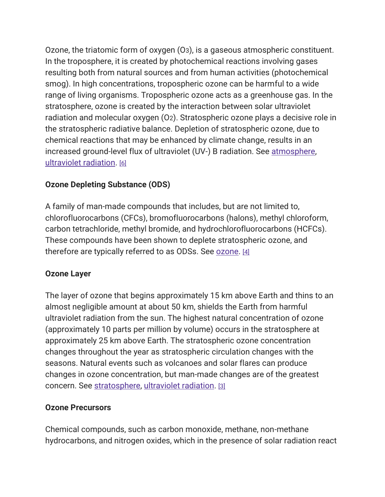Ozone, the triatomic form of oxygen (O3), is a gaseous atmospheric constituent. In the troposphere, it is created by photochemical reactions involving gases resulting both from natural sources and from human activities (photochemical smog). In high concentrations, tropospheric ozone can be harmful to a wide range of living organisms. Tropospheric ozone acts as a greenhouse gas. In the stratosphere, ozone is created by the interaction between solar ultraviolet radiation and molecular oxygen (O2). Stratospheric ozone plays a decisive role in the stratospheric radiative balance. Depletion of stratospheric ozone, due to chemical reactions that may be enhanced by climate change, results in an increased ground-level flux of ultraviolet (UV-) B radiation. See atmosphere, [ultraviolet radiation.](https://19january2017snapshot.epa.gov/climatechange/glossary-climate-change-terms_.html#Ultraviolet%20Radiation%20(UV)) [\[6\]](https://19january2017snapshot.epa.gov/climatechange/glossary-climate-change-terms_.html#6)

# Ozone Depleting Substance (ODS)

A family of man-made compounds that includes, but are not limited to, chlorofluorocarbons (CFCs), bromofluorocarbons (halons), methyl chloroform, carbon tetrachloride, methyl bromide, and hydrochlorofluorocarbons (HCFCs). These compounds have been shown to deplete stratospheric ozone, and therefore are typically referred to as ODSs. See [ozone.](https://19january2017snapshot.epa.gov/climatechange/glossary-climate-change-terms_.html#Ozone) [\[4\]](https://19january2017snapshot.epa.gov/climatechange/glossary-climate-change-terms_.html#4)

# Ozone Layer

The layer of ozone that begins approximately 15 km above Earth and thins to an almost negligible amount at about 50 km, shields the Earth from harmful ultraviolet radiation from the sun. The highest natural concentration of ozone (approximately 10 parts per million by volume) occurs in the stratosphere at approximately 25 km above Earth. The stratospheric ozone concentration changes throughout the year as stratospheric circulation changes with the seasons. Natural events such as volcanoes and solar flares can produce changes in ozone concentration, but man-made changes are of the greatest concern. See [stratosphere,](https://19january2017snapshot.epa.gov/climatechange/glossary-climate-change-terms_.html#Stratosphere) [ultraviolet radiation.](https://19january2017snapshot.epa.gov/climatechange/glossary-climate-change-terms_.html#Ultraviolet%20Radiation%20(UV)) [\[3\]](https://19january2017snapshot.epa.gov/climatechange/glossary-climate-change-terms_.html#3)

# Ozone Precursors

Chemical compounds, such as carbon monoxide, methane, non-methane hydrocarbons, and nitrogen oxides, which in the presence of solar radiation react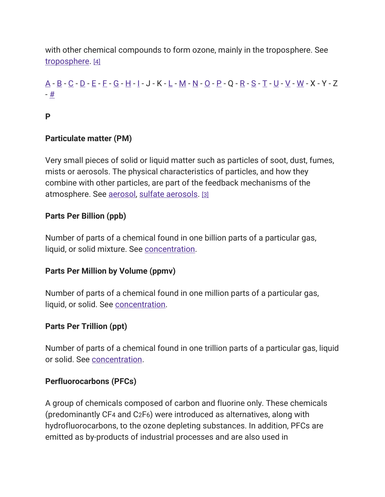with other chemical compounds to form ozone, mainly in the troposphere. See [troposphere.](https://19january2017snapshot.epa.gov/climatechange/glossary-climate-change-terms_.html#Troposphere) [\[4\]](https://19january2017snapshot.epa.gov/climatechange/glossary-climate-change-terms_.html#4)

# [A](https://19january2017snapshot.epa.gov/climatechange/glossary-climate-change-terms_.html#A) - [B](https://19january2017snapshot.epa.gov/climatechange/glossary-climate-change-terms_.html#B) - [C](https://19january2017snapshot.epa.gov/climatechange/glossary-climate-change-terms_.html#C) - [D](https://19january2017snapshot.epa.gov/climatechange/glossary-climate-change-terms_.html#D) - [E](https://19january2017snapshot.epa.gov/climatechange/glossary-climate-change-terms_.html#E) - [F](https://19january2017snapshot.epa.gov/climatechange/glossary-climate-change-terms_.html#F) - [G](https://19january2017snapshot.epa.gov/climatechange/glossary-climate-change-terms_.html#G) - [H](https://19january2017snapshot.epa.gov/climatechange/glossary-climate-change-terms_.html#H) - [I](https://19january2017snapshot.epa.gov/climatechange/glossary-climate-change-terms_.html#I) - J - K - [L](https://19january2017snapshot.epa.gov/climatechange/glossary-climate-change-terms_.html#L) - [M](https://19january2017snapshot.epa.gov/climatechange/glossary-climate-change-terms_.html#M) - [N](https://19january2017snapshot.epa.gov/climatechange/glossary-climate-change-terms_.html#N) - [O](https://19january2017snapshot.epa.gov/climatechange/glossary-climate-change-terms_.html#O) - [P](https://19january2017snapshot.epa.gov/climatechange/glossary-climate-change-terms_.html#P) - Q - [R](https://19january2017snapshot.epa.gov/climatechange/glossary-climate-change-terms_.html#R) - [S](https://19january2017snapshot.epa.gov/climatechange/glossary-climate-change-terms_.html#S) - [T](https://19january2017snapshot.epa.gov/climatechange/glossary-climate-change-terms_.html#T) - [U](https://19january2017snapshot.epa.gov/climatechange/glossary-climate-change-terms_.html#U) - [V](https://19january2017snapshot.epa.gov/climatechange/glossary-climate-change-terms_.html#V) - [W](https://19january2017snapshot.epa.gov/climatechange/glossary-climate-change-terms_.html#W) - X - Y - Z - [#](https://19january2017snapshot.epa.gov/climatechange/glossary-climate-change-terms_.html)

#### P

#### Particulate matter (PM)

Very small pieces of solid or liquid matter such as particles of soot, dust, fumes, mists or aerosols. The physical characteristics of particles, and how they combine with other particles, are part of the feedback mechanisms of the atmosphere. See [aerosol,](https://19january2017snapshot.epa.gov/climatechange/glossary-climate-change-terms_.html#Aerosols) [sulfate aerosols.](https://19january2017snapshot.epa.gov/climatechange/glossary-climate-change-terms_.html#Sulfate%20Aerosols) [\[3\]](https://19january2017snapshot.epa.gov/climatechange/glossary-climate-change-terms_.html#3)

## Parts Per Billion (ppb)

Number of parts of a chemical found in one billion parts of a particular gas, liquid, or solid mixture. See [concentration.](https://19january2017snapshot.epa.gov/climatechange/glossary-climate-change-terms_.html#Concentration)

#### Parts Per Million by Volume (ppmv)

Number of parts of a chemical found in one million parts of a particular gas, liquid, or solid. See [concentration.](https://19january2017snapshot.epa.gov/climatechange/glossary-climate-change-terms_.html#Concentration)

#### Parts Per Trillion (ppt)

Number of parts of a chemical found in one trillion parts of a particular gas, liquid or solid. See [concentration.](https://19january2017snapshot.epa.gov/climatechange/glossary-climate-change-terms_.html#Concentration)

#### Perfluorocarbons (PFCs)

A group of chemicals composed of carbon and fluorine only. These chemicals (predominantly CF4 and C2F6) were introduced as alternatives, along with hydrofluorocarbons, to the ozone depleting substances. In addition, PFCs are emitted as by-products of industrial processes and are also used in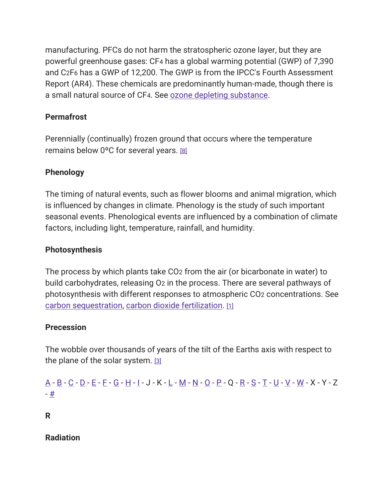manufacturing. PFCs do not harm the stratospheric ozone layer, but they are powerful greenhouse gases: CF4 has a global warming potential (GWP) of 7,390 and C2F6 has a GWP of 12,200. The GWP is from the IPCC's Fourth Assessment Report (AR4). These chemicals are predominantly human-made, though there is a small natural source of CF4. See [ozone depleting substance.](https://19january2017snapshot.epa.gov/climatechange/glossary-climate-change-terms_.html#Ozone%20Depleting%20Substance%20(ODS))

## **Permafrost**

Perennially (continually) frozen ground that occurs where the temperature remains below 0ºC for several years. [\[8\]](https://19january2017snapshot.epa.gov/climatechange/glossary-climate-change-terms_.html#8)

## Phenology

The timing of natural events, such as flower blooms and animal migration, which is influenced by changes in climate. Phenology is the study of such important seasonal events. Phenological events are influenced by a combination of climate factors, including light, temperature, rainfall, and humidity.

#### Photosynthesis

The process by which plants take CO2 from the air (or bicarbonate in water) to build carbohydrates, releasing O2 in the process. There are several pathways of photosynthesis with different responses to atmospheric CO2 concentrations. See [carbon sequestration,](https://19january2017snapshot.epa.gov/climatechange/glossary-climate-change-terms_.html#Carbon%20Sequestration) [carbon dioxide fertilization.](https://19january2017snapshot.epa.gov/climatechange/glossary-climate-change-terms_.html#Carbon%20Dioxide%20Fertilization) [\[1\]](https://19january2017snapshot.epa.gov/climatechange/glossary-climate-change-terms_.html#1)

#### **Precession**

The wobble over thousands of years of the tilt of the Earths axis with respect to the plane of the solar system. [\[3\]](https://19january2017snapshot.epa.gov/climatechange/glossary-climate-change-terms_.html#3)

```
A - B - C - D - E - F - G - H - I - J - K - L - M - N - O - P - Q - R - S - T - U - V - W - X - Y - Z 
- #
```
R

Radiation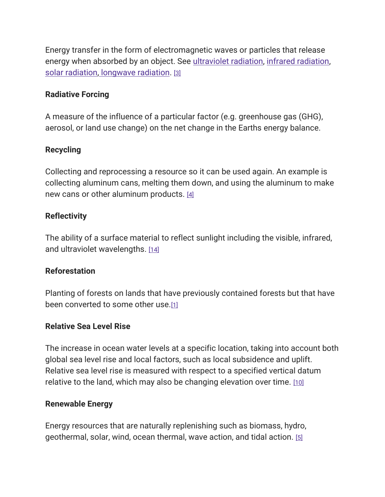Energy transfer in the form of electromagnetic waves or particles that release energy when absorbed by an object. See [ultraviolet radiation,](https://19january2017snapshot.epa.gov/climatechange/glossary-climate-change-terms_.html#Ultraviolet%20Radiation%20(UV)) [infrared radiation,](https://19january2017snapshot.epa.gov/climatechange/glossary-climate-change-terms_.html#Infrared%20Radiation) [solar radiation,](https://19january2017snapshot.epa.gov/climatechange/glossary-climate-change-terms_.html#Solar%20Radiation) [longwave radiation.](https://19january2017snapshot.epa.gov/climatechange/glossary-climate-change-terms_.html#Longwave%20Radiation) [\[3\]](https://19january2017snapshot.epa.gov/climatechange/glossary-climate-change-terms_.html#3)

#### Radiative Forcing

A measure of the influence of a particular factor (e.g. greenhouse gas (GHG), aerosol, or land use change) on the net change in the Earths energy balance.

#### Recycling

Collecting and reprocessing a resource so it can be used again. An example is collecting aluminum cans, melting them down, and using the aluminum to make new cans or other aluminum products. [\[4\]](https://19january2017snapshot.epa.gov/climatechange/glossary-climate-change-terms_.html#4)

#### **Reflectivity**

The ability of a surface material to reflect sunlight including the visible, infrared, and ultraviolet wavelengths. [\[14\]](https://19january2017snapshot.epa.gov/climatechange/glossary-climate-change-terms_.html#14)

#### Reforestation

Planting of forests on lands that have previously contained forests but that have been converted to some other use.[\[1\]](https://19january2017snapshot.epa.gov/climatechange/glossary-climate-change-terms_.html#1)

#### Relative Sea Level Rise

The increase in ocean water levels at a specific location, taking into account both global sea level rise and local factors, such as local subsidence and uplift. Relative sea level rise is measured with respect to a specified vertical datum relative to the land, which may also be changing elevation over time. [\[10\]](https://19january2017snapshot.epa.gov/climatechange/glossary-climate-change-terms_.html#10)

#### Renewable Energy

Energy resources that are naturally replenishing such as biomass, hydro, geothermal, solar, wind, ocean thermal, wave action, and tidal action. [\[5\]](https://19january2017snapshot.epa.gov/climatechange/glossary-climate-change-terms_.html#5)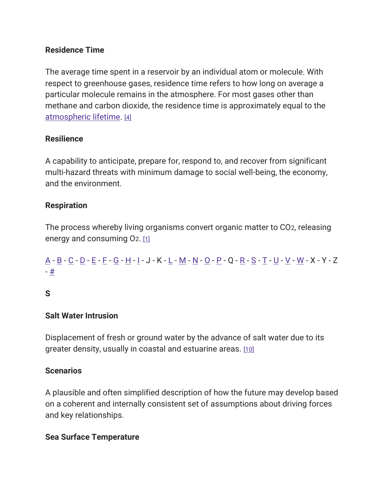#### Residence Time

The average time spent in a reservoir by an individual atom or molecule. With respect to greenhouse gases, residence time refers to how long on average a particular molecule remains in the atmosphere. For most gases other than methane and carbon dioxide, the residence time is approximately equal to the [atmospheric lifetime.](https://19january2017snapshot.epa.gov/climatechange/glossary-climate-change-terms_.html#Atmospheric%20Lifetime) [\[4\]](https://19january2017snapshot.epa.gov/climatechange/glossary-climate-change-terms_.html#4)

#### **Resilience**

A capability to anticipate, prepare for, respond to, and recover from significant multi-hazard threats with minimum damage to social well-being, the economy, and the environment.

#### Respiration

The process whereby living organisms convert organic matter to CO2, releasing energy and consuming O<sub>2</sub>. [\[1\]](https://19january2017snapshot.epa.gov/climatechange/glossary-climate-change-terms_.html#1)

# [A](https://19january2017snapshot.epa.gov/climatechange/glossary-climate-change-terms_.html#A) - [B](https://19january2017snapshot.epa.gov/climatechange/glossary-climate-change-terms_.html#B) - [C](https://19january2017snapshot.epa.gov/climatechange/glossary-climate-change-terms_.html#C) - [D](https://19january2017snapshot.epa.gov/climatechange/glossary-climate-change-terms_.html#D) - [E](https://19january2017snapshot.epa.gov/climatechange/glossary-climate-change-terms_.html#E) - [F](https://19january2017snapshot.epa.gov/climatechange/glossary-climate-change-terms_.html#F) - [G](https://19january2017snapshot.epa.gov/climatechange/glossary-climate-change-terms_.html#G) - [H](https://19january2017snapshot.epa.gov/climatechange/glossary-climate-change-terms_.html#H) - [I](https://19january2017snapshot.epa.gov/climatechange/glossary-climate-change-terms_.html#I) - J - K - [L](https://19january2017snapshot.epa.gov/climatechange/glossary-climate-change-terms_.html#L) - [M](https://19january2017snapshot.epa.gov/climatechange/glossary-climate-change-terms_.html#M) - [N](https://19january2017snapshot.epa.gov/climatechange/glossary-climate-change-terms_.html#N) - [O](https://19january2017snapshot.epa.gov/climatechange/glossary-climate-change-terms_.html#O) - [P](https://19january2017snapshot.epa.gov/climatechange/glossary-climate-change-terms_.html#P) - Q - [R](https://19january2017snapshot.epa.gov/climatechange/glossary-climate-change-terms_.html#R) - [S](https://19january2017snapshot.epa.gov/climatechange/glossary-climate-change-terms_.html#S) - [T](https://19january2017snapshot.epa.gov/climatechange/glossary-climate-change-terms_.html#T) - [U](https://19january2017snapshot.epa.gov/climatechange/glossary-climate-change-terms_.html#U) - [V](https://19january2017snapshot.epa.gov/climatechange/glossary-climate-change-terms_.html#V) - [W](https://19january2017snapshot.epa.gov/climatechange/glossary-climate-change-terms_.html#W) - X - Y - Z - [#](https://19january2017snapshot.epa.gov/climatechange/glossary-climate-change-terms_.html)

#### S

#### Salt Water Intrusion

Displacement of fresh or ground water by the advance of salt water due to its greater density, usually in coastal and estuarine areas. [\[10\]](https://19january2017snapshot.epa.gov/climatechange/glossary-climate-change-terms_.html#10)

#### **Scenarios**

A plausible and often simplified description of how the future may develop based on a coherent and internally consistent set of assumptions about driving forces and key relationships.

#### Sea Surface Temperature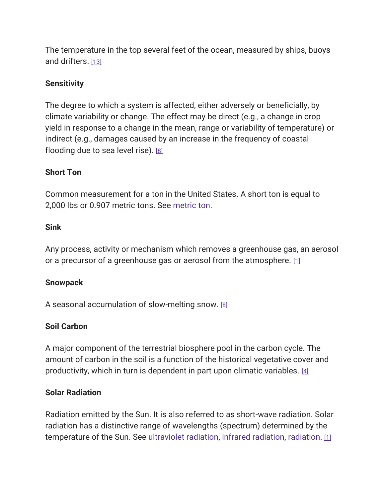The temperature in the top several feet of the ocean, measured by ships, buoys and drifters. [\[13\]](https://19january2017snapshot.epa.gov/climatechange/glossary-climate-change-terms_.html#13)

#### **Sensitivity**

The degree to which a system is affected, either adversely or beneficially, by climate variability or change. The effect may be direct (e.g., a change in crop yield in response to a change in the mean, range or variability of temperature) or indirect (e.g., damages caused by an increase in the frequency of coastal flooding due to sea level rise). [\[8\]](https://19january2017snapshot.epa.gov/climatechange/glossary-climate-change-terms_.html#8)

#### Short Ton

Common measurement for a ton in the United States. A short ton is equal to 2,000 lbs or 0.907 metric tons. See [metric](https://19january2017snapshot.epa.gov/climatechange/glossary-climate-change-terms_.html#Metric%20Ton) ton.

#### Sink

Any process, activity or mechanism which removes a greenhouse gas, an aerosol or a precursor of a greenhouse gas or aerosol from the atmosphere. [\[1\]](https://19january2017snapshot.epa.gov/climatechange/glossary-climate-change-terms_.html#1)

#### Snowpack

A seasonal accumulation of slow-melting snow. [\[8\]](https://19january2017snapshot.epa.gov/climatechange/glossary-climate-change-terms_.html#8)

#### Soil Carbon

A major component of the terrestrial biosphere pool in the carbon cycle. The amount of carbon in the soil is a function of the historical vegetative cover and productivity, which in turn is dependent in part upon climatic variables. [\[4\]](https://19january2017snapshot.epa.gov/climatechange/glossary-climate-change-terms_.html#4)

#### Solar Radiation

Radiation emitted by the Sun. It is also referred to as short-wave radiation. Solar radiation has a distinctive range of wavelengths (spectrum) determined by the temperature of the Sun. See [ultraviolet radiation,](https://19january2017snapshot.epa.gov/climatechange/glossary-climate-change-terms_.html#Ultraviolet%20Radiation%20(UV)) [infrared radiation,](https://19january2017snapshot.epa.gov/climatechange/glossary-climate-change-terms_.html#Infrared%20Radiation) [radiation.](https://19january2017snapshot.epa.gov/climatechange/glossary-climate-change-terms_.html#Radiation) [\[1\]](https://19january2017snapshot.epa.gov/climatechange/glossary-climate-change-terms_.html#1)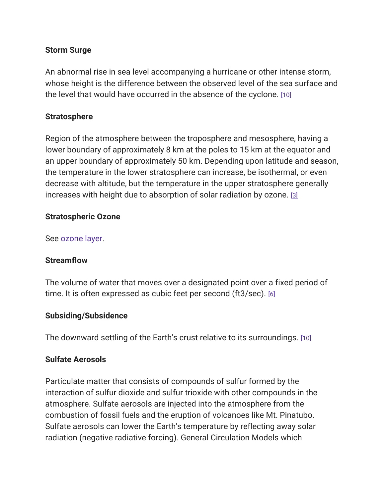#### Storm Surge

An abnormal rise in sea level accompanying a hurricane or other intense storm, whose height is the difference between the observed level of the sea surface and the level that would have occurred in the absence of the cyclone. [\[10\]](https://19january2017snapshot.epa.gov/climatechange/glossary-climate-change-terms_.html#10)

#### **Stratosphere**

Region of the atmosphere between the troposphere and mesosphere, having a lower boundary of approximately 8 km at the poles to 15 km at the equator and an upper boundary of approximately 50 km. Depending upon latitude and season, the temperature in the lower stratosphere can increase, be isothermal, or even decrease with altitude, but the temperature in the upper stratosphere generally increases with height due to absorption of solar radiation by ozone. [\[3\]](https://19january2017snapshot.epa.gov/climatechange/glossary-climate-change-terms_.html#3)

#### Stratospheric Ozone

#### See [ozone layer.](https://19january2017snapshot.epa.gov/climatechange/glossary-climate-change-terms_.html#Ozone%20Layer)

#### **Streamflow**

The volume of water that moves over a designated point over a fixed period of time. It is often expressed as cubic feet per second (ft3/sec). [\[6\]](https://19january2017snapshot.epa.gov/climatechange/glossary-climate-change-terms_.html#6)

#### Subsiding/Subsidence

The downward settling of the Earth's crust relative to its surroundings. [\[10\]](https://19january2017snapshot.epa.gov/climatechange/glossary-climate-change-terms_.html#10)

#### Sulfate Aerosols

Particulate matter that consists of compounds of sulfur formed by the interaction of sulfur dioxide and sulfur trioxide with other compounds in the atmosphere. Sulfate aerosols are injected into the atmosphere from the combustion of fossil fuels and the eruption of volcanoes like Mt. Pinatubo. Sulfate aerosols can lower the Earth's temperature by reflecting away solar radiation (negative radiative forcing). General Circulation Models which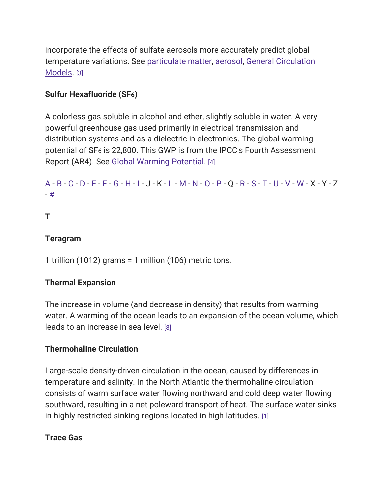incorporate the effects of sulfate aerosols more accurately predict global temperature variations. See [particulate matter,](https://19january2017snapshot.epa.gov/climatechange/glossary-climate-change-terms_.html#Particulate%20matter%20(PM)) [aerosol,](https://19january2017snapshot.epa.gov/climatechange/glossary-climate-change-terms_.html#Aerosols) [General Circulation](https://19january2017snapshot.epa.gov/climatechange/glossary-climate-change-terms_.html#General%20Circulation%20Model%20(GCM))  [Models.](https://19january2017snapshot.epa.gov/climatechange/glossary-climate-change-terms_.html#General%20Circulation%20Model%20(GCM)) [\[3\]](https://19january2017snapshot.epa.gov/climatechange/glossary-climate-change-terms_.html#3)

# Sulfur Hexafluoride (SF6)

A colorless gas soluble in alcohol and ether, slightly soluble in water. A very powerful greenhouse gas used primarily in electrical transmission and distribution systems and as a dielectric in electronics. The global warming potential of SF6 is 22,800. This GWP is from the IPCC's Fourth Assessment Report (AR4). See [Global Warming Potential.](https://19january2017snapshot.epa.gov/climatechange/glossary-climate-change-terms_.html#Global%20Warming%20Potential) [\[4\]](https://19january2017snapshot.epa.gov/climatechange/glossary-climate-change-terms_.html#4)

# [A](https://19january2017snapshot.epa.gov/climatechange/glossary-climate-change-terms_.html#A) - [B](https://19january2017snapshot.epa.gov/climatechange/glossary-climate-change-terms_.html#B) - [C](https://19january2017snapshot.epa.gov/climatechange/glossary-climate-change-terms_.html#C) - [D](https://19january2017snapshot.epa.gov/climatechange/glossary-climate-change-terms_.html#D) - [E](https://19january2017snapshot.epa.gov/climatechange/glossary-climate-change-terms_.html#E) - [F](https://19january2017snapshot.epa.gov/climatechange/glossary-climate-change-terms_.html#F) - [G](https://19january2017snapshot.epa.gov/climatechange/glossary-climate-change-terms_.html#G) - [H](https://19january2017snapshot.epa.gov/climatechange/glossary-climate-change-terms_.html#H) - [I](https://19january2017snapshot.epa.gov/climatechange/glossary-climate-change-terms_.html#I) - J - K - [L](https://19january2017snapshot.epa.gov/climatechange/glossary-climate-change-terms_.html#L) - [M](https://19january2017snapshot.epa.gov/climatechange/glossary-climate-change-terms_.html#M) - [N](https://19january2017snapshot.epa.gov/climatechange/glossary-climate-change-terms_.html#N) - [O](https://19january2017snapshot.epa.gov/climatechange/glossary-climate-change-terms_.html#O) - [P](https://19january2017snapshot.epa.gov/climatechange/glossary-climate-change-terms_.html#P) - Q - [R](https://19january2017snapshot.epa.gov/climatechange/glossary-climate-change-terms_.html#R) - [S](https://19january2017snapshot.epa.gov/climatechange/glossary-climate-change-terms_.html#S) - [T](https://19january2017snapshot.epa.gov/climatechange/glossary-climate-change-terms_.html#T) - [U](https://19january2017snapshot.epa.gov/climatechange/glossary-climate-change-terms_.html#U) - [V](https://19january2017snapshot.epa.gov/climatechange/glossary-climate-change-terms_.html#V) - [W](https://19january2017snapshot.epa.gov/climatechange/glossary-climate-change-terms_.html#W) - X - Y - Z - [#](https://19january2017snapshot.epa.gov/climatechange/glossary-climate-change-terms_.html)

## T

#### Teragram

1 trillion (1012) grams = 1 million (106) metric tons.

#### Thermal Expansion

The increase in volume (and decrease in density) that results from warming water. A warming of the ocean leads to an expansion of the ocean volume, which leads to an increase in sea level. [\[8\]](https://19january2017snapshot.epa.gov/climatechange/glossary-climate-change-terms_.html#8)

#### Thermohaline Circulation

Large-scale density-driven circulation in the ocean, caused by differences in temperature and salinity. In the North Atlantic the thermohaline circulation consists of warm surface water flowing northward and cold deep water flowing southward, resulting in a net poleward transport of heat. The surface water sinks in highly restricted sinking regions located in high latitudes.  $[1]$ 

#### Trace Gas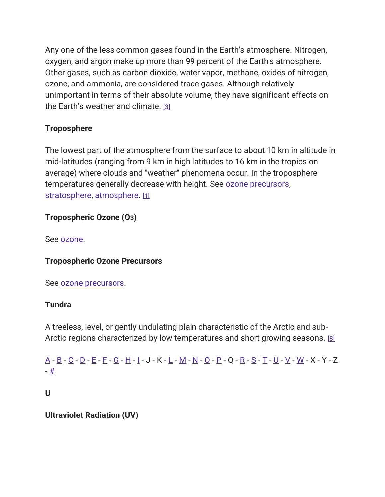Any one of the less common gases found in the Earth's atmosphere. Nitrogen, oxygen, and argon make up more than 99 percent of the Earth's atmosphere. Other gases, such as carbon dioxide, water vapor, methane, oxides of nitrogen, ozone, and ammonia, are considered trace gases. Although relatively unimportant in terms of their absolute volume, they have significant effects on the Earth's weather and climate. [\[3\]](https://19january2017snapshot.epa.gov/climatechange/glossary-climate-change-terms_.html#3)

# **Troposphere**

The lowest part of the atmosphere from the surface to about 10 km in altitude in mid-latitudes (ranging from 9 km in high latitudes to 16 km in the tropics on average) where clouds and "weather" phenomena occur. In the troposphere temperatures generally decrease with height. See [ozone precursors,](https://19january2017snapshot.epa.gov/climatechange/glossary-climate-change-terms_.html#Ozone%20Precursors) [stratosphere,](https://19january2017snapshot.epa.gov/climatechange/glossary-climate-change-terms_.html#Stratosphere) [atmosphere.](https://19january2017snapshot.epa.gov/climatechange/glossary-climate-change-terms_.html#Atmosphere) [\[1\]](https://19january2017snapshot.epa.gov/climatechange/glossary-climate-change-terms_.html#1)

# Tropospheric Ozone (O3)

See [ozone.](https://19january2017snapshot.epa.gov/climatechange/glossary-climate-change-terms_.html#Ozone)

# Tropospheric Ozone Precursors

See [ozone precursors.](https://19january2017snapshot.epa.gov/climatechange/glossary-climate-change-terms_.html#Ozone%20Precursors)

#### Tundra

A treeless, level, or gently undulating plain characteristic of the Arctic and sub-Arctic regions characterized by low temperatures and short growing seasons. [\[8\]](https://19january2017snapshot.epa.gov/climatechange/glossary-climate-change-terms_.html#8)

[A](https://19january2017snapshot.epa.gov/climatechange/glossary-climate-change-terms_.html#A) - [B](https://19january2017snapshot.epa.gov/climatechange/glossary-climate-change-terms_.html#B) - [C](https://19january2017snapshot.epa.gov/climatechange/glossary-climate-change-terms_.html#C) - [D](https://19january2017snapshot.epa.gov/climatechange/glossary-climate-change-terms_.html#D) - [E](https://19january2017snapshot.epa.gov/climatechange/glossary-climate-change-terms_.html#E) - [F](https://19january2017snapshot.epa.gov/climatechange/glossary-climate-change-terms_.html#F) - [G](https://19january2017snapshot.epa.gov/climatechange/glossary-climate-change-terms_.html#G) - [H](https://19january2017snapshot.epa.gov/climatechange/glossary-climate-change-terms_.html#H) - [I](https://19january2017snapshot.epa.gov/climatechange/glossary-climate-change-terms_.html#I) - J - K - [L](https://19january2017snapshot.epa.gov/climatechange/glossary-climate-change-terms_.html#L) - [M](https://19january2017snapshot.epa.gov/climatechange/glossary-climate-change-terms_.html#M) - [N](https://19january2017snapshot.epa.gov/climatechange/glossary-climate-change-terms_.html#N) - [O](https://19january2017snapshot.epa.gov/climatechange/glossary-climate-change-terms_.html#O) - [P](https://19january2017snapshot.epa.gov/climatechange/glossary-climate-change-terms_.html#P) - Q - [R](https://19january2017snapshot.epa.gov/climatechange/glossary-climate-change-terms_.html#R) - [S](https://19january2017snapshot.epa.gov/climatechange/glossary-climate-change-terms_.html#S) - [T](https://19january2017snapshot.epa.gov/climatechange/glossary-climate-change-terms_.html#T) - [U](https://19january2017snapshot.epa.gov/climatechange/glossary-climate-change-terms_.html#U) - [V](https://19january2017snapshot.epa.gov/climatechange/glossary-climate-change-terms_.html#V) - [W](https://19january2017snapshot.epa.gov/climatechange/glossary-climate-change-terms_.html#W) - X - Y - Z - [#](https://19january2017snapshot.epa.gov/climatechange/glossary-climate-change-terms_.html)

U

Ultraviolet Radiation (UV)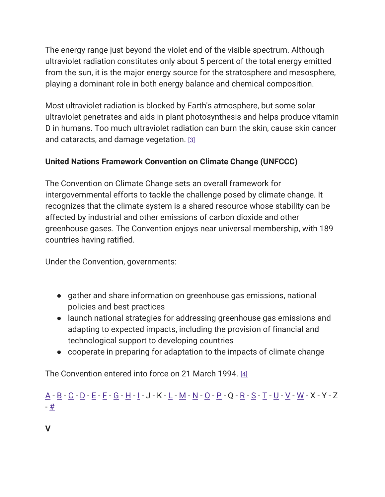The energy range just beyond the violet end of the visible spectrum. Although ultraviolet radiation constitutes only about 5 percent of the total energy emitted from the sun, it is the major energy source for the stratosphere and mesosphere, playing a dominant role in both energy balance and chemical composition.

Most ultraviolet radiation is blocked by Earth's atmosphere, but some solar ultraviolet penetrates and aids in plant photosynthesis and helps produce vitamin D in humans. Too much ultraviolet radiation can burn the skin, cause skin cancer and cataracts, and damage vegetation. [\[3\]](https://19january2017snapshot.epa.gov/climatechange/glossary-climate-change-terms_.html#3)

# United Nations Framework Convention on Climate Change (UNFCCC)

The Convention on Climate Change sets an overall framework for intergovernmental efforts to tackle the challenge posed by climate change. It recognizes that the climate system is a shared resource whose stability can be affected by industrial and other emissions of carbon dioxide and other greenhouse gases. The Convention enjoys near universal membership, with 189 countries having ratified.

Under the Convention, governments:

- gather and share information on greenhouse gas emissions, national policies and best practices
- launch national strategies for addressing greenhouse gas emissions and adapting to expected impacts, including the provision of financial and technological support to developing countries
- cooperate in preparing for adaptation to the impacts of climate change

The Convention entered into force on 21 March 1994. [\[4\]](https://19january2017snapshot.epa.gov/climatechange/glossary-climate-change-terms_.html#4)

[A](https://19january2017snapshot.epa.gov/climatechange/glossary-climate-change-terms_.html#A) - [B](https://19january2017snapshot.epa.gov/climatechange/glossary-climate-change-terms_.html#B) - [C](https://19january2017snapshot.epa.gov/climatechange/glossary-climate-change-terms_.html#C) - [D](https://19january2017snapshot.epa.gov/climatechange/glossary-climate-change-terms_.html#D) - [E](https://19january2017snapshot.epa.gov/climatechange/glossary-climate-change-terms_.html#E) - [F](https://19january2017snapshot.epa.gov/climatechange/glossary-climate-change-terms_.html#F) - [G](https://19january2017snapshot.epa.gov/climatechange/glossary-climate-change-terms_.html#G) - [H](https://19january2017snapshot.epa.gov/climatechange/glossary-climate-change-terms_.html#H) - [I](https://19january2017snapshot.epa.gov/climatechange/glossary-climate-change-terms_.html#I) - J - K - [L](https://19january2017snapshot.epa.gov/climatechange/glossary-climate-change-terms_.html#L) - [M](https://19january2017snapshot.epa.gov/climatechange/glossary-climate-change-terms_.html#M) - [N](https://19january2017snapshot.epa.gov/climatechange/glossary-climate-change-terms_.html#N) - [O](https://19january2017snapshot.epa.gov/climatechange/glossary-climate-change-terms_.html#O) - [P](https://19january2017snapshot.epa.gov/climatechange/glossary-climate-change-terms_.html#P) - Q - [R](https://19january2017snapshot.epa.gov/climatechange/glossary-climate-change-terms_.html#R) - [S](https://19january2017snapshot.epa.gov/climatechange/glossary-climate-change-terms_.html#S) - [T](https://19january2017snapshot.epa.gov/climatechange/glossary-climate-change-terms_.html#T) - [U](https://19january2017snapshot.epa.gov/climatechange/glossary-climate-change-terms_.html#U) - [V](https://19january2017snapshot.epa.gov/climatechange/glossary-climate-change-terms_.html#V) - [W](https://19january2017snapshot.epa.gov/climatechange/glossary-climate-change-terms_.html#W) - X - Y - Z - [#](https://19january2017snapshot.epa.gov/climatechange/glossary-climate-change-terms_.html)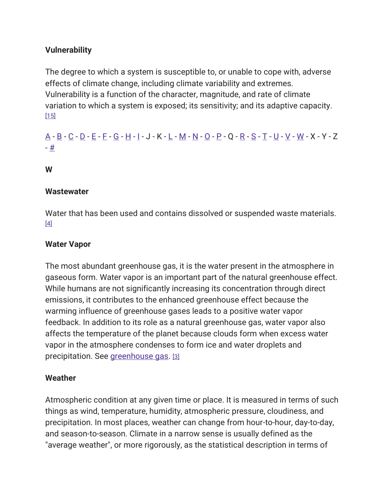## **Vulnerability**

The degree to which a system is susceptible to, or unable to cope with, adverse effects of climate change, including climate variability and extremes. Vulnerability is a function of the character, magnitude, and rate of climate variation to which a system is exposed; its sensitivity; and its adaptive capacity.  $[15]$ 

# [A](https://19january2017snapshot.epa.gov/climatechange/glossary-climate-change-terms_.html#A) - [B](https://19january2017snapshot.epa.gov/climatechange/glossary-climate-change-terms_.html#B) - [C](https://19january2017snapshot.epa.gov/climatechange/glossary-climate-change-terms_.html#C) - [D](https://19january2017snapshot.epa.gov/climatechange/glossary-climate-change-terms_.html#D) - [E](https://19january2017snapshot.epa.gov/climatechange/glossary-climate-change-terms_.html#E) - [F](https://19january2017snapshot.epa.gov/climatechange/glossary-climate-change-terms_.html#F) - [G](https://19january2017snapshot.epa.gov/climatechange/glossary-climate-change-terms_.html#G) - [H](https://19january2017snapshot.epa.gov/climatechange/glossary-climate-change-terms_.html#H) - [I](https://19january2017snapshot.epa.gov/climatechange/glossary-climate-change-terms_.html#I) - J - K - [L](https://19january2017snapshot.epa.gov/climatechange/glossary-climate-change-terms_.html#L) - [M](https://19january2017snapshot.epa.gov/climatechange/glossary-climate-change-terms_.html#M) - [N](https://19january2017snapshot.epa.gov/climatechange/glossary-climate-change-terms_.html#N) - [O](https://19january2017snapshot.epa.gov/climatechange/glossary-climate-change-terms_.html#O) - [P](https://19january2017snapshot.epa.gov/climatechange/glossary-climate-change-terms_.html#P) - Q - [R](https://19january2017snapshot.epa.gov/climatechange/glossary-climate-change-terms_.html#R) - [S](https://19january2017snapshot.epa.gov/climatechange/glossary-climate-change-terms_.html#S) - [T](https://19january2017snapshot.epa.gov/climatechange/glossary-climate-change-terms_.html#T) - [U](https://19january2017snapshot.epa.gov/climatechange/glossary-climate-change-terms_.html#U) - [V](https://19january2017snapshot.epa.gov/climatechange/glossary-climate-change-terms_.html#V) - [W](https://19january2017snapshot.epa.gov/climatechange/glossary-climate-change-terms_.html#W) - X - Y - Z - [#](https://19january2017snapshot.epa.gov/climatechange/glossary-climate-change-terms_.html)

W

#### **Wastewater**

Water that has been used and contains dissolved or suspended waste materials. [\[4\]](https://19january2017snapshot.epa.gov/climatechange/glossary-climate-change-terms_.html#4)

## Water Vapor

The most abundant greenhouse gas, it is the water present in the atmosphere in gaseous form. Water vapor is an important part of the natural greenhouse effect. While humans are not significantly increasing its concentration through direct emissions, it contributes to the enhanced greenhouse effect because the warming influence of greenhouse gases leads to a positive water vapor feedback. In addition to its role as a natural greenhouse gas, water vapor also affects the temperature of the planet because clouds form when excess water vapor in the atmosphere condenses to form ice and water droplets and precipitation. See [greenhouse gas.](https://19january2017snapshot.epa.gov/climatechange/glossary-climate-change-terms_.html#Greenhouse%20Gas%20(GHG)) [\[3\]](https://19january2017snapshot.epa.gov/climatechange/glossary-climate-change-terms_.html#3)

#### **Weather**

Atmospheric condition at any given time or place. It is measured in terms of such things as wind, temperature, humidity, atmospheric pressure, cloudiness, and precipitation. In most places, weather can change from hour-to-hour, day-to-day, and season-to-season. Climate in a narrow sense is usually defined as the "average weather", or more rigorously, as the statistical description in terms of